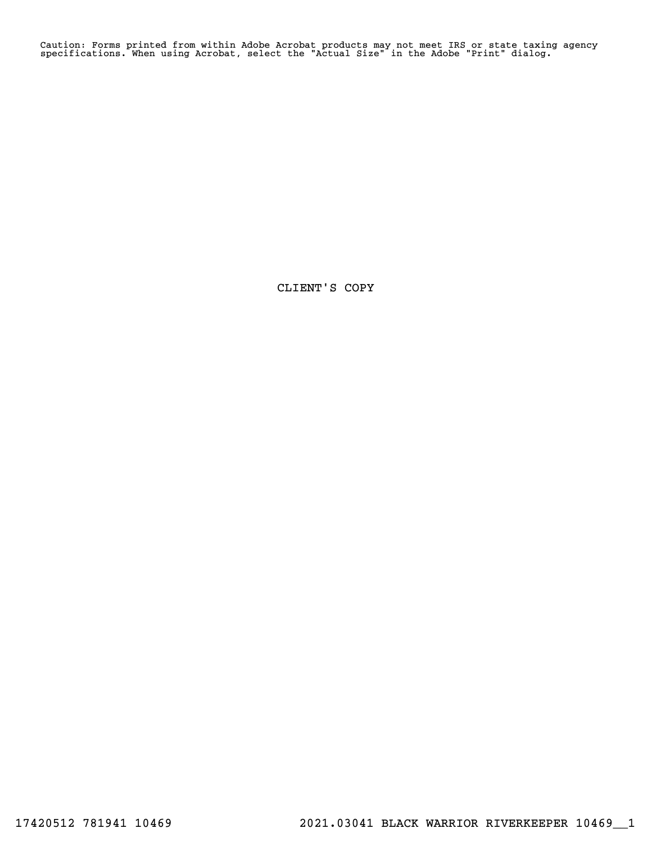Caution: Forms printed from within Adobe Acrobat products may not meet IRS or state taxing agency specifications. When using Acrobat, select the "Actual Size" in the Adobe "Print" dialog.

CLIENT'S COPY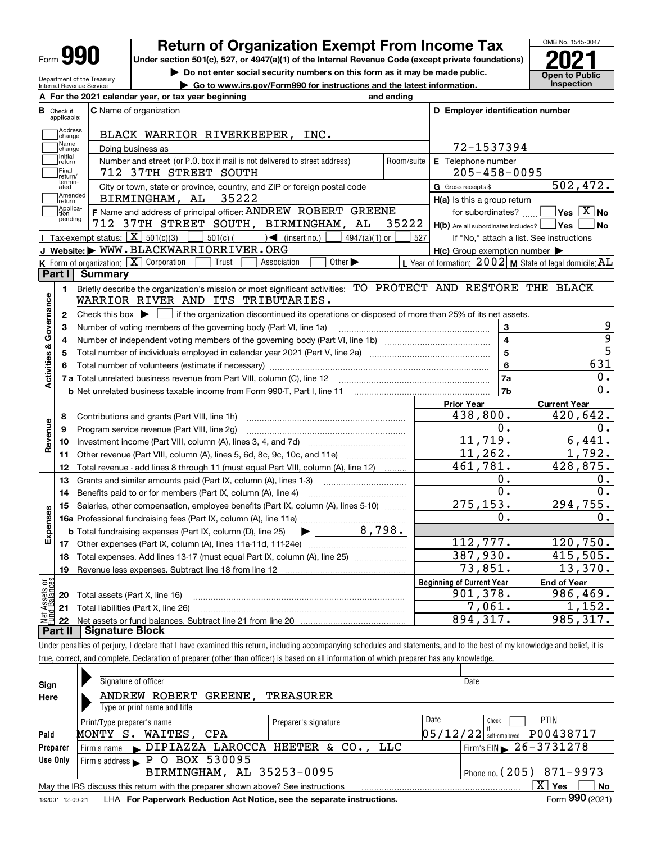| Form | т |
|------|---|
|------|---|

# **Return of Organization Exempt From Income Tax**

Under section 501(c), 527, or 4947(a)(1) of the Internal Revenue Code (except private foundations) **2021** 

**| Do not enter social security numbers on this form as it may be made public. | Go to www.irs.gov/Form990 for instructions and the latest information. Inspection**



Department of the Treasury Internal Revenue Service

| <b>B</b> Check if<br>applicable:      | <b>C</b> Name of organization                                                                                                                      |            | D Employer identification number                               |                                                             |
|---------------------------------------|----------------------------------------------------------------------------------------------------------------------------------------------------|------------|----------------------------------------------------------------|-------------------------------------------------------------|
| Address<br>change                     | BLACK WARRIOR RIVERKEEPER, INC.                                                                                                                    |            |                                                                |                                                             |
| Name<br>change                        | Doing business as                                                                                                                                  |            | 72-1537394                                                     |                                                             |
| Initial<br>return<br>Final<br>return/ | Number and street (or P.O. box if mail is not delivered to street address)<br>712 37TH STREET SOUTH                                                | Room/suite | E Telephone number<br>$205 - 458 - 0095$                       |                                                             |
| termin-<br>ated<br>Amended<br>return  | City or town, state or province, country, and ZIP or foreign postal code<br>35222<br>BIRMINGHAM, AL                                                |            | G Gross receipts \$<br>H(a) Is this a group return             | 502, 472.                                                   |
| Applica-<br>tion<br>pending           | F Name and address of principal officer: ANDREW ROBERT GREENE<br>712 37TH STREET SOUTH, BIRMINGHAM, AL                                             | 35222      | for subordinates?<br>H(b) Are all subordinates included?   Yes | $\blacksquare$ Yes $\boxed{\text{X}}$ No<br>  No            |
|                                       | Tax-exempt status: $\boxed{\mathbf{X}}$ 501(c)(3)<br>$501(c)$ $\left( \qquad \qquad \right)$ (insert no.)<br>$4947(a)(1)$ or                       | 527        |                                                                | If "No," attach a list. See instructions                    |
|                                       | J Website: WWW.BLACKWARRIORRIVER.ORG                                                                                                               |            | $H(c)$ Group exemption number $\blacktriangleright$            |                                                             |
|                                       | Other $\blacktriangleright$<br>K Form of organization: $\boxed{\mathbf{X}}$ Corporation<br>Trust<br>Association                                    |            |                                                                | L Year of formation: $2002$ M State of legal domicile: $AL$ |
| Part I                                | <b>Summary</b>                                                                                                                                     |            |                                                                |                                                             |
| 1.<br>Governance                      | Briefly describe the organization's mission or most significant activities: TO PROTECT AND RESTORE THE BLACK<br>WARRIOR RIVER AND ITS TRIBUTARIES. |            |                                                                |                                                             |
| 2                                     | Check this box $\blacktriangleright$<br>if the organization discontinued its operations or disposed of more than 25% of its net assets.            |            |                                                                |                                                             |
| з                                     | Number of voting members of the governing body (Part VI, line 1a)                                                                                  |            | 3                                                              | 9                                                           |
| 4                                     |                                                                                                                                                    |            | $\overline{4}$                                                 | 9                                                           |
| 5                                     |                                                                                                                                                    |            | 5                                                              | $\overline{5}$                                              |
| 6                                     |                                                                                                                                                    |            | 6                                                              | 631                                                         |
|                                       |                                                                                                                                                    |            | 7a                                                             | $0$ .                                                       |
|                                       |                                                                                                                                                    |            | 7b                                                             | 0.                                                          |
|                                       |                                                                                                                                                    |            | <b>Prior Year</b>                                              | <b>Current Year</b>                                         |
| 8                                     | Contributions and grants (Part VIII, line 1h)                                                                                                      |            | 438,800.                                                       | 420,642.                                                    |
| 9                                     | Program service revenue (Part VIII, line 2g)                                                                                                       |            | 0.                                                             | $0$ .                                                       |
| 10                                    |                                                                                                                                                    |            | 11,719.                                                        | 6,441.                                                      |
| 11                                    | Other revenue (Part VIII, column (A), lines 5, 6d, 8c, 9c, 10c, and 11e)                                                                           |            | 11, 262.                                                       | 1,792.                                                      |
| 12                                    | Total revenue - add lines 8 through 11 (must equal Part VIII, column (A), line 12)                                                                 |            | 461,781.                                                       | 428,875.                                                    |
| 13                                    | Grants and similar amounts paid (Part IX, column (A), lines 1-3)                                                                                   |            | 0.                                                             | 0.                                                          |
| 14                                    | Benefits paid to or for members (Part IX, column (A), line 4)                                                                                      |            | 0.                                                             | 0.                                                          |
| 15                                    | Salaries, other compensation, employee benefits (Part IX, column (A), lines 5-10)                                                                  |            | 275, 153.                                                      | 294,755.                                                    |
|                                       |                                                                                                                                                    |            | 0.                                                             | 0.                                                          |
|                                       | <b>b</b> Total fundraising expenses (Part IX, column (D), line 25)                                                                                 |            |                                                                |                                                             |
|                                       |                                                                                                                                                    |            | 112,777.                                                       | 120,750.                                                    |
| 17                                    |                                                                                                                                                    |            | 387,930.                                                       | 415,505.                                                    |
| 18                                    | Total expenses. Add lines 13-17 (must equal Part IX, column (A), line 25)                                                                          |            | $\overline{73}$ , 851.                                         | 13,370.                                                     |
|                                       | 19 Revenue less expenses. Subtract line 18 from line 12                                                                                            |            |                                                                |                                                             |
| 20                                    | Total assets (Part X, line 16)                                                                                                                     |            | <b>Beginning of Current Year</b><br>901,378.                   | <b>End of Year</b><br>986,469.                              |
| Assets or<br>1Balances<br>21          | Total liabilities (Part X, line 26)                                                                                                                |            | 7,061.                                                         | 1,152.                                                      |
| 22                                    |                                                                                                                                                    |            | 894,317.                                                       | 985, 317.                                                   |
|                                       | <b>Signature Block</b>                                                                                                                             |            |                                                                |                                                             |

| Sign<br>Here | Signature of officer<br>ANDREW ROBERT<br>GREENE .                               | <b>TREASURER</b>                   | Date                                     |
|--------------|---------------------------------------------------------------------------------|------------------------------------|------------------------------------------|
|              | Type or print name and title                                                    |                                    |                                          |
|              | Print/Type preparer's name                                                      | Preparer's signature               | Date<br><b>PTIN</b><br>Check             |
| Paid         | WAITES, CPA<br>MONTY S.                                                         |                                    | P00438717<br>$05/12/22$ self-employed    |
| Preparer     | Firm's name                                                                     | DIPIAZZA LAROCCA HEETER & CO., LLC | Firm's EIN $\triangleright$ 26 - 3731278 |
| Use Only     | Firm's address P O BOX 530095                                                   |                                    |                                          |
|              | BIRMINGHAM, AL 35253-0095                                                       |                                    | Phone no. $(205)$ 871-9973               |
|              | May the IRS discuss this return with the preparer shown above? See instructions |                                    | x<br>No<br><b>Yes</b>                    |
|              |                                                                                 |                                    | $000 \times 10^{-1}$<br>-                |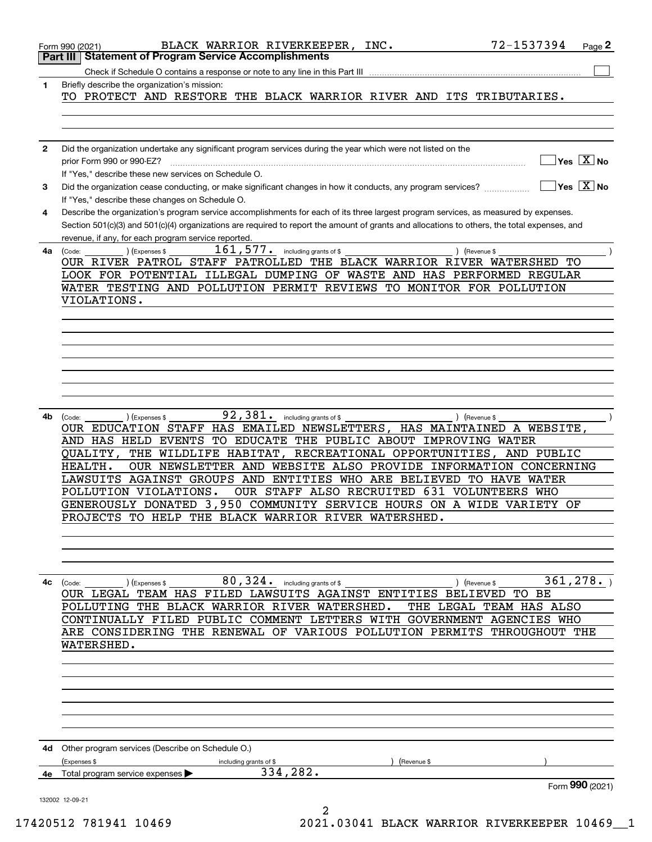|              | 72-1537394<br>BLACK WARRIOR RIVERKEEPER, INC.<br>Page 2<br>Form 990 (2021)                                                                                |
|--------------|-----------------------------------------------------------------------------------------------------------------------------------------------------------|
|              | <b>Statement of Program Service Accomplishments</b><br>Part III                                                                                           |
|              | Check if Schedule O contains a response or note to any line in this Part III                                                                              |
| 1            | Briefly describe the organization's mission:<br>TO PROTECT AND RESTORE THE BLACK WARRIOR RIVER AND ITS TRIBUTARIES.                                       |
|              |                                                                                                                                                           |
|              |                                                                                                                                                           |
|              |                                                                                                                                                           |
| $\mathbf{2}$ | Did the organization undertake any significant program services during the year which were not listed on the                                              |
|              | $\overline{\ }$ Yes $\overline{\phantom{X}}$ No<br>prior Form 990 or 990-EZ?<br>If "Yes," describe these new services on Schedule O.                      |
| 3            | $\overline{\ }$ Yes $\overline{\ \ X}$ No<br>Did the organization cease conducting, or make significant changes in how it conducts, any program services? |
|              | If "Yes," describe these changes on Schedule O.                                                                                                           |
| 4            | Describe the organization's program service accomplishments for each of its three largest program services, as measured by expenses.                      |
|              | Section 501(c)(3) and 501(c)(4) organizations are required to report the amount of grants and allocations to others, the total expenses, and              |
|              | revenue, if any, for each program service reported.                                                                                                       |
| 4a           | $161, 577$ . including grants of \$<br>(Expenses \$<br>) (Revenue \$<br>(Code:<br>OUR RIVER PATROL STAFF PATROLLED THE BLACK WARRIOR RIVER WATERSHED TO   |
|              | LOOK FOR POTENTIAL ILLEGAL DUMPING OF WASTE AND HAS PERFORMED REGULAR                                                                                     |
|              | WATER TESTING AND POLLUTION PERMIT REVIEWS TO MONITOR FOR POLLUTION                                                                                       |
|              | VIOLATIONS.                                                                                                                                               |
|              |                                                                                                                                                           |
|              |                                                                                                                                                           |
|              |                                                                                                                                                           |
|              |                                                                                                                                                           |
|              |                                                                                                                                                           |
|              |                                                                                                                                                           |
|              |                                                                                                                                                           |
| 4b           | 92,381. including grants of \$<br>) (Expenses \$<br>) (Revenue \$<br>(Code:                                                                               |
|              | OUR EDUCATION STAFF HAS EMAILED NEWSLETTERS, HAS MAINTAINED A WEBSITE,                                                                                    |
|              | AND HAS HELD EVENTS<br>TO EDUCATE THE PUBLIC ABOUT IMPROVING WATER                                                                                        |
|              | RECREATIONAL OPPORTUNITIES, AND PUBLIC<br>QUALITY,<br>THE WILDLIFE HABITAT,                                                                               |
|              | OUR NEWSLETTER AND WEBSITE ALSO PROVIDE INFORMATION CONCERNING<br>HEALTH.                                                                                 |
|              | LAWSUITS AGAINST GROUPS AND ENTITIES WHO ARE BELIEVED<br>TO HAVE WATER                                                                                    |
|              | OUR STAFF ALSO RECRUITED 631 VOLUNTEERS WHO<br>POLLUTION VIOLATIONS.<br>GENEROUSLY DONATED 3,950 COMMUNITY SERVICE HOURS ON A WIDE VARIETY OF             |
|              | PROJECTS TO HELP THE BLACK WARRIOR RIVER WATERSHED.                                                                                                       |
|              |                                                                                                                                                           |
|              |                                                                                                                                                           |
|              |                                                                                                                                                           |
|              |                                                                                                                                                           |
| 4с           | 80, 324. including grants of \$<br>361, 278.<br>(Code:<br>(Expenses \$<br>) (Revenue \$                                                                   |
|              | OUR LEGAL TEAM HAS FILED LAWSUITS AGAINST ENTITIES BELIEVED TO BE<br>POLLUTING THE BLACK WARRIOR RIVER WATERSHED.<br>THE LEGAL TEAM HAS ALSO              |
|              | CONTINUALLY FILED PUBLIC COMMENT LETTERS WITH GOVERNMENT AGENCIES WHO                                                                                     |
|              | ARE CONSIDERING THE RENEWAL OF VARIOUS POLLUTION PERMITS THROUGHOUT THE                                                                                   |
|              | WATERSHED.                                                                                                                                                |
|              |                                                                                                                                                           |
|              |                                                                                                                                                           |
|              |                                                                                                                                                           |
|              |                                                                                                                                                           |
|              |                                                                                                                                                           |
|              |                                                                                                                                                           |
|              | 4d Other program services (Describe on Schedule O.)                                                                                                       |
|              | (Expenses \$<br>including grants of \$<br>(Revenue \$                                                                                                     |
|              | 334, 282.<br>4e Total program service expenses                                                                                                            |
|              | Form 990 (2021)                                                                                                                                           |
|              | 132002 12-09-21                                                                                                                                           |
|              | 2                                                                                                                                                         |

17420512 781941 10469 2021.03041 BLACK WARRIOR RIVERKEEPER 10469\_\_1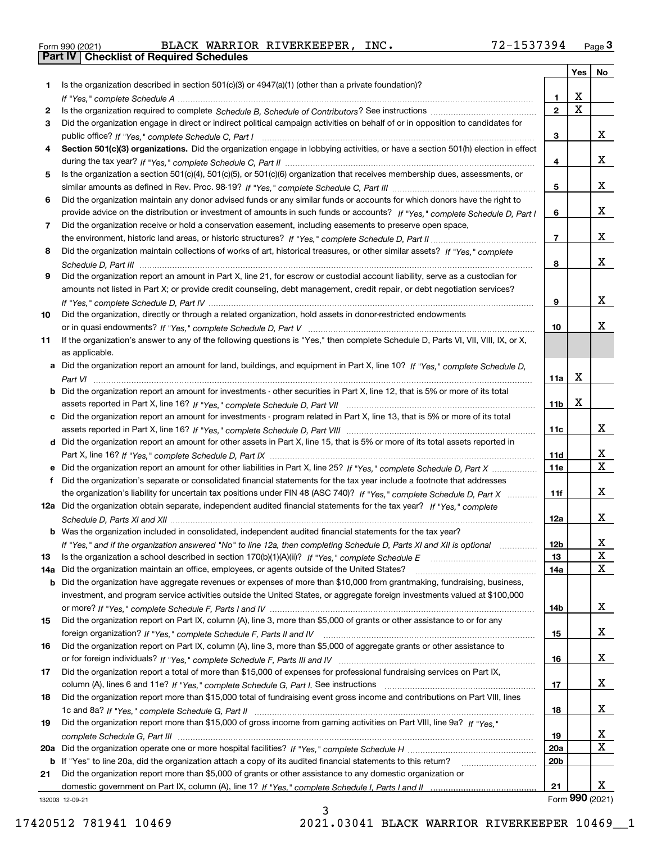|  | Form 990 (2021) |
|--|-----------------|

Form 990 (2021) BLACK WARRIOR RIVERKEEPER*,* INC. 72-1537394 <sub>Page</sub> 3<br>**Part IV | Checklist of Required Schedules** 

|     |                                                                                                                                       |                 | <b>Yes</b>              | No                      |
|-----|---------------------------------------------------------------------------------------------------------------------------------------|-----------------|-------------------------|-------------------------|
| 1   | Is the organization described in section $501(c)(3)$ or $4947(a)(1)$ (other than a private foundation)?                               |                 |                         |                         |
|     |                                                                                                                                       | 1.              | х                       |                         |
| 2   |                                                                                                                                       | $\mathbf 2$     | $\overline{\mathbf{x}}$ |                         |
| 3   | Did the organization engage in direct or indirect political campaign activities on behalf of or in opposition to candidates for       |                 |                         |                         |
|     |                                                                                                                                       | 3               |                         | x                       |
| 4   | Section 501(c)(3) organizations. Did the organization engage in lobbying activities, or have a section 501(h) election in effect      |                 |                         |                         |
|     |                                                                                                                                       | 4               |                         | х                       |
| 5   | Is the organization a section 501(c)(4), 501(c)(5), or 501(c)(6) organization that receives membership dues, assessments, or          |                 |                         |                         |
|     |                                                                                                                                       | 5               |                         | х                       |
| 6   | Did the organization maintain any donor advised funds or any similar funds or accounts for which donors have the right to             |                 |                         |                         |
|     | provide advice on the distribution or investment of amounts in such funds or accounts? If "Yes," complete Schedule D, Part I          | 6               |                         | х                       |
| 7   | Did the organization receive or hold a conservation easement, including easements to preserve open space,                             |                 |                         |                         |
|     |                                                                                                                                       | $\overline{7}$  |                         | х                       |
| 8   | Did the organization maintain collections of works of art, historical treasures, or other similar assets? If "Yes," complete          |                 |                         |                         |
|     |                                                                                                                                       | 8               |                         | х                       |
| 9   | Did the organization report an amount in Part X, line 21, for escrow or custodial account liability, serve as a custodian for         |                 |                         |                         |
|     | amounts not listed in Part X; or provide credit counseling, debt management, credit repair, or debt negotiation services?             | 9               |                         | х                       |
| 10  | Did the organization, directly or through a related organization, hold assets in donor-restricted endowments                          |                 |                         |                         |
|     |                                                                                                                                       | 10              |                         | х                       |
| 11  | If the organization's answer to any of the following questions is "Yes," then complete Schedule D, Parts VI, VII, VIII, IX, or X,     |                 |                         |                         |
|     | as applicable.                                                                                                                        |                 |                         |                         |
|     | a Did the organization report an amount for land, buildings, and equipment in Part X, line 10? If "Yes," complete Schedule D,         |                 |                         |                         |
|     |                                                                                                                                       | 11a             | х                       |                         |
|     | <b>b</b> Did the organization report an amount for investments - other securities in Part X, line 12, that is 5% or more of its total |                 |                         |                         |
|     |                                                                                                                                       | 11 <sub>b</sub> | X                       |                         |
|     | c Did the organization report an amount for investments - program related in Part X, line 13, that is 5% or more of its total         |                 |                         |                         |
|     |                                                                                                                                       | 11c             |                         | X                       |
|     | d Did the organization report an amount for other assets in Part X, line 15, that is 5% or more of its total assets reported in       |                 |                         |                         |
|     |                                                                                                                                       | 11d             |                         | x                       |
|     |                                                                                                                                       | <b>11e</b>      |                         | $\overline{\mathbf{x}}$ |
| f   | Did the organization's separate or consolidated financial statements for the tax year include a footnote that addresses               |                 |                         |                         |
|     | the organization's liability for uncertain tax positions under FIN 48 (ASC 740)? If "Yes," complete Schedule D. Part X                | 11f             |                         | х                       |
|     | 12a Did the organization obtain separate, independent audited financial statements for the tax year? If "Yes," complete               |                 |                         |                         |
|     |                                                                                                                                       | 12a             |                         | X                       |
|     | <b>b</b> Was the organization included in consolidated, independent audited financial statements for the tax year?                    |                 |                         |                         |
|     | If "Yes," and if the organization answered "No" to line 12a, then completing Schedule D, Parts XI and XII is optional                 | 12 <sub>b</sub> |                         | x                       |
| 13  |                                                                                                                                       | 13              |                         | X                       |
| 14a | Did the organization maintain an office, employees, or agents outside of the United States?                                           | 14a             |                         | $\mathbf x$             |
| b   | Did the organization have aggregate revenues or expenses of more than \$10,000 from grantmaking, fundraising, business,               |                 |                         |                         |
|     | investment, and program service activities outside the United States, or aggregate foreign investments valued at \$100,000            |                 |                         |                         |
|     | Did the organization report on Part IX, column (A), line 3, more than \$5,000 of grants or other assistance to or for any             | 14b             |                         | x                       |
| 15  |                                                                                                                                       |                 |                         | x                       |
|     | Did the organization report on Part IX, column (A), line 3, more than \$5,000 of aggregate grants or other assistance to              | 15              |                         |                         |
| 16  |                                                                                                                                       | 16              |                         | x                       |
| 17  | Did the organization report a total of more than \$15,000 of expenses for professional fundraising services on Part IX,               |                 |                         |                         |
|     |                                                                                                                                       | 17              |                         | x                       |
| 18  | Did the organization report more than \$15,000 total of fundraising event gross income and contributions on Part VIII, lines          |                 |                         |                         |
|     |                                                                                                                                       | 18              |                         | x                       |
| 19  | Did the organization report more than \$15,000 of gross income from gaming activities on Part VIII, line 9a? If "Yes."                |                 |                         |                         |
|     |                                                                                                                                       | 19              |                         | x                       |
| 20a |                                                                                                                                       | <b>20a</b>      |                         | X                       |
| b   | If "Yes" to line 20a, did the organization attach a copy of its audited financial statements to this return?                          | 20 <sub>b</sub> |                         |                         |
| 21  | Did the organization report more than \$5,000 of grants or other assistance to any domestic organization or                           |                 |                         |                         |
|     |                                                                                                                                       | 21              |                         | x                       |
|     | 132003 12-09-21                                                                                                                       |                 |                         | Form 990 (2021)         |

132003 12-09-21

3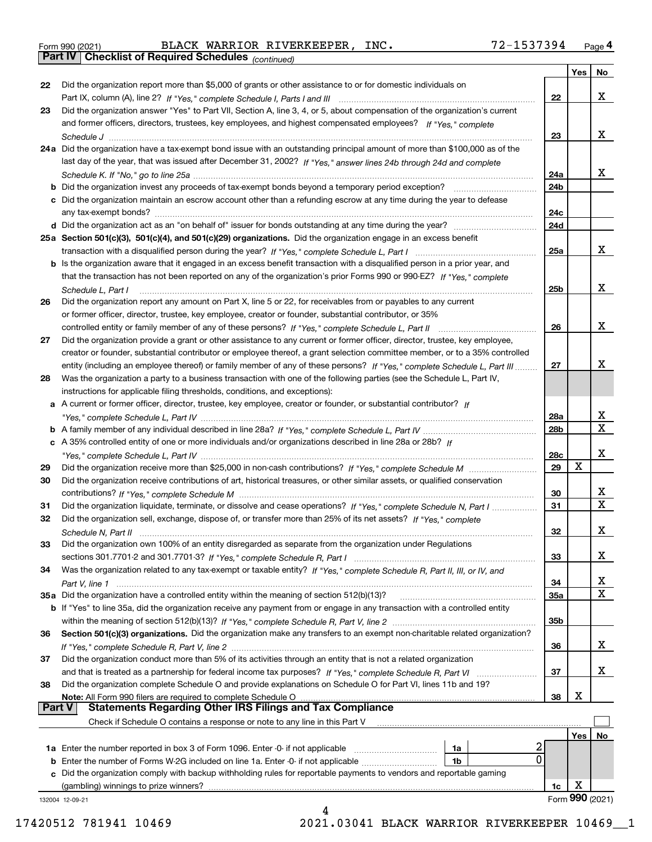|  | Form 990 (2021) |
|--|-----------------|
|  |                 |

*(continued)*

|               |                                                                                                                                    |                 | Yes | No.             |
|---------------|------------------------------------------------------------------------------------------------------------------------------------|-----------------|-----|-----------------|
| 22            | Did the organization report more than \$5,000 of grants or other assistance to or for domestic individuals on                      |                 |     |                 |
|               |                                                                                                                                    | 22              |     | x               |
| 23            | Did the organization answer "Yes" to Part VII, Section A, line 3, 4, or 5, about compensation of the organization's current        |                 |     |                 |
|               | and former officers, directors, trustees, key employees, and highest compensated employees? If "Yes," complete                     |                 |     |                 |
|               | Schedule J                                                                                                                         | 23              |     | x               |
|               | 24a Did the organization have a tax-exempt bond issue with an outstanding principal amount of more than \$100,000 as of the        |                 |     |                 |
|               | last day of the year, that was issued after December 31, 2002? If "Yes," answer lines 24b through 24d and complete                 |                 |     |                 |
|               |                                                                                                                                    | 24a             |     | x               |
|               | <b>b</b> Did the organization invest any proceeds of tax-exempt bonds beyond a temporary period exception?                         | 24b             |     |                 |
|               | c Did the organization maintain an escrow account other than a refunding escrow at any time during the year to defease             |                 |     |                 |
|               | any tax-exempt bonds?                                                                                                              | 24c             |     |                 |
|               |                                                                                                                                    |                 |     |                 |
|               |                                                                                                                                    | 24d             |     |                 |
|               | 25a Section 501(c)(3), 501(c)(4), and 501(c)(29) organizations. Did the organization engage in an excess benefit                   |                 |     |                 |
|               |                                                                                                                                    | 25a             |     | x               |
|               | b Is the organization aware that it engaged in an excess benefit transaction with a disqualified person in a prior year, and       |                 |     |                 |
|               | that the transaction has not been reported on any of the organization's prior Forms 990 or 990-EZ? If "Yes," complete              |                 |     |                 |
|               | Schedule L. Part I                                                                                                                 | 25b             |     | х               |
| 26            | Did the organization report any amount on Part X, line 5 or 22, for receivables from or payables to any current                    |                 |     |                 |
|               | or former officer, director, trustee, key employee, creator or founder, substantial contributor, or 35%                            |                 |     |                 |
|               | controlled entity or family member of any of these persons? If "Yes," complete Schedule L, Part II                                 | 26              |     | x               |
| 27            | Did the organization provide a grant or other assistance to any current or former officer, director, trustee, key employee,        |                 |     |                 |
|               | creator or founder, substantial contributor or employee thereof, a grant selection committee member, or to a 35% controlled        |                 |     |                 |
|               | entity (including an employee thereof) or family member of any of these persons? If "Yes," complete Schedule L, Part III           | 27              |     | х               |
| 28            | Was the organization a party to a business transaction with one of the following parties (see the Schedule L, Part IV,             |                 |     |                 |
|               | instructions for applicable filing thresholds, conditions, and exceptions):                                                        |                 |     |                 |
|               | a A current or former officer, director, trustee, key employee, creator or founder, or substantial contributor? If                 |                 |     |                 |
|               |                                                                                                                                    | 28a             |     | х               |
|               |                                                                                                                                    | 28 <sub>b</sub> |     | X.              |
|               | c A 35% controlled entity of one or more individuals and/or organizations described in line 28a or 28b? If                         |                 |     |                 |
|               |                                                                                                                                    | 28c             |     | х               |
| 29            |                                                                                                                                    | 29              | X   |                 |
| 30            | Did the organization receive contributions of art, historical treasures, or other similar assets, or qualified conservation        |                 |     |                 |
|               |                                                                                                                                    | 30              |     | х               |
|               |                                                                                                                                    |                 |     | X.              |
| 31            | Did the organization liquidate, terminate, or dissolve and cease operations? If "Yes," complete Schedule N, Part I                 | 31              |     |                 |
| 32            | Did the organization sell, exchange, dispose of, or transfer more than 25% of its net assets? If "Yes," complete                   |                 |     | х               |
|               | Schedule N. Part II                                                                                                                | 32              |     |                 |
| 33            | Did the organization own 100% of an entity disregarded as separate from the organization under Regulations                         |                 |     |                 |
|               |                                                                                                                                    | 33              |     | x               |
| 34            | Was the organization related to any tax-exempt or taxable entity? If "Yes," complete Schedule R, Part II, III, or IV, and          |                 |     |                 |
|               |                                                                                                                                    | 34              |     | X               |
|               | 35a Did the organization have a controlled entity within the meaning of section 512(b)(13)?                                        | <b>35a</b>      |     | x               |
|               | <b>b</b> If "Yes" to line 35a, did the organization receive any payment from or engage in any transaction with a controlled entity |                 |     |                 |
|               |                                                                                                                                    | 35b             |     |                 |
| 36            | Section 501(c)(3) organizations. Did the organization make any transfers to an exempt non-charitable related organization?         |                 |     |                 |
|               |                                                                                                                                    | 36              |     | x               |
| 37            | Did the organization conduct more than 5% of its activities through an entity that is not a related organization                   |                 |     |                 |
|               | and that is treated as a partnership for federal income tax purposes? If "Yes," complete Schedule R, Part VI                       | 37              |     | x               |
| 38            | Did the organization complete Schedule O and provide explanations on Schedule O for Part VI, lines 11b and 19?                     |                 |     |                 |
|               | Note: All Form 990 filers are required to complete Schedule O                                                                      | 38              | х   |                 |
| <b>Part V</b> | <b>Statements Regarding Other IRS Filings and Tax Compliance</b>                                                                   |                 |     |                 |
|               | Check if Schedule O contains a response or note to any line in this Part V                                                         |                 |     |                 |
|               |                                                                                                                                    |                 | Yes | No              |
|               | 1a                                                                                                                                 |                 |     |                 |
|               | 0<br><b>b</b> Enter the number of Forms W-2G included on line 1a. Enter -0- if not applicable<br>1b                                |                 |     |                 |
|               | c Did the organization comply with backup withholding rules for reportable payments to vendors and reportable gaming               |                 |     |                 |
|               | (gambling) winnings to prize winners?                                                                                              | 1c              | х   |                 |
|               | 132004 12-09-21                                                                                                                    |                 |     | Form 990 (2021) |
|               | 4                                                                                                                                  |                 |     |                 |

17420512 781941 10469 2021.03041 BLACK WARRIOR RIVERKEEPER 10469\_\_1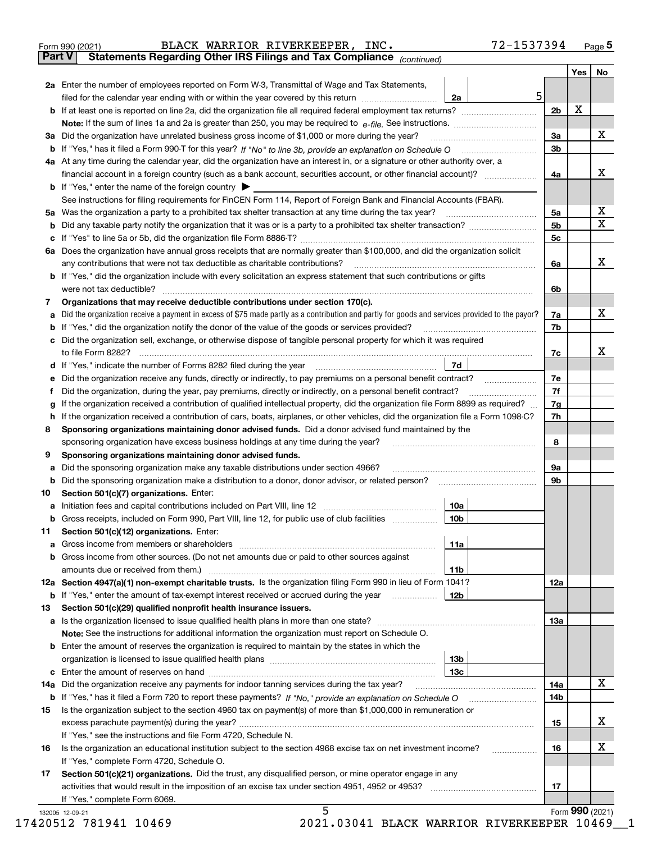|    | 72-1537394<br>BLACK WARRIOR RIVERKEEPER, INC.<br>Form 990 (2021)                                                                                                                                                                                                                        |                |     | Page $5$                     |
|----|-----------------------------------------------------------------------------------------------------------------------------------------------------------------------------------------------------------------------------------------------------------------------------------------|----------------|-----|------------------------------|
|    | Statements Regarding Other IRS Filings and Tax Compliance (continued)<br><b>Part V</b>                                                                                                                                                                                                  |                |     |                              |
|    |                                                                                                                                                                                                                                                                                         |                | Yes | No                           |
|    | 2a Enter the number of employees reported on Form W-3, Transmittal of Wage and Tax Statements,                                                                                                                                                                                          |                |     |                              |
|    | 5<br>filed for the calendar year ending with or within the year covered by this return [11] [11] filed for the calendar year ending with or within the year covered by this return<br>2a                                                                                                |                |     |                              |
|    |                                                                                                                                                                                                                                                                                         | 2 <sub>b</sub> | х   |                              |
|    | Note: If the sum of lines 1a and 2a is greater than 250, you may be required to $e$ -file. See instructions. $\ldots$ $\ldots$ $\ldots$ $\ldots$ $\ldots$ $\ldots$ $\ldots$ $\ldots$ $\ldots$ $\ldots$ $\ldots$ $\ldots$ $\ldots$ $\ldots$ $\ldots$ $\ldots$ $\ldots$ $\ldots$ $\ldots$ |                |     |                              |
|    | 3a Did the organization have unrelated business gross income of \$1,000 or more during the year?                                                                                                                                                                                        | За             |     | X                            |
|    | b If "Yes," has it filed a Form 990-T for this year? If "No" to line 3b, provide an explanation on Schedule O                                                                                                                                                                           | 3b             |     |                              |
|    | 4a At any time during the calendar year, did the organization have an interest in, or a signature or other authority over, a                                                                                                                                                            |                |     |                              |
|    | financial account in a foreign country (such as a bank account, securities account, or other financial account)?                                                                                                                                                                        | 4a             |     | х                            |
|    | <b>b</b> If "Yes," enter the name of the foreign country $\triangleright$                                                                                                                                                                                                               |                |     |                              |
|    | See instructions for filing requirements for FinCEN Form 114, Report of Foreign Bank and Financial Accounts (FBAR).                                                                                                                                                                     |                |     |                              |
|    | 5a Was the organization a party to a prohibited tax shelter transaction at any time during the tax year?                                                                                                                                                                                | 5a             |     | х<br>$\overline{\mathbf{x}}$ |
| b  |                                                                                                                                                                                                                                                                                         | 5 <sub>b</sub> |     |                              |
| c  | If "Yes" to line 5a or 5b, did the organization file Form 8886-T?                                                                                                                                                                                                                       | 5c             |     |                              |
|    | 6a Does the organization have annual gross receipts that are normally greater than \$100,000, and did the organization solicit                                                                                                                                                          |                |     |                              |
|    | any contributions that were not tax deductible as charitable contributions?                                                                                                                                                                                                             | 6a             |     | x                            |
|    | <b>b</b> If "Yes," did the organization include with every solicitation an express statement that such contributions or gifts                                                                                                                                                           |                |     |                              |
|    | were not tax deductible?                                                                                                                                                                                                                                                                | 6b             |     |                              |
| 7  | Organizations that may receive deductible contributions under section 170(c).                                                                                                                                                                                                           |                |     | x                            |
| а  | Did the organization receive a payment in excess of \$75 made partly as a contribution and partly for goods and services provided to the payor?                                                                                                                                         | 7a             |     |                              |
| b  | If "Yes," did the organization notify the donor of the value of the goods or services provided?                                                                                                                                                                                         | 7b             |     |                              |
| с  | Did the organization sell, exchange, or otherwise dispose of tangible personal property for which it was required                                                                                                                                                                       |                |     |                              |
|    | to file Form 8282?                                                                                                                                                                                                                                                                      | 7c             |     | х                            |
|    | 7d<br>d If "Yes," indicate the number of Forms 8282 filed during the year                                                                                                                                                                                                               |                |     |                              |
| е  | Did the organization receive any funds, directly or indirectly, to pay premiums on a personal benefit contract?                                                                                                                                                                         | 7e             |     |                              |
| f  | Did the organization, during the year, pay premiums, directly or indirectly, on a personal benefit contract?                                                                                                                                                                            | 7f             |     |                              |
| g  | If the organization received a contribution of qualified intellectual property, did the organization file Form 8899 as required?                                                                                                                                                        | 7g             |     |                              |
| h  | If the organization received a contribution of cars, boats, airplanes, or other vehicles, did the organization file a Form 1098-C?                                                                                                                                                      | 7h             |     |                              |
| 8  | Sponsoring organizations maintaining donor advised funds. Did a donor advised fund maintained by the                                                                                                                                                                                    |                |     |                              |
|    | sponsoring organization have excess business holdings at any time during the year?                                                                                                                                                                                                      | 8              |     |                              |
| 9  | Sponsoring organizations maintaining donor advised funds.                                                                                                                                                                                                                               |                |     |                              |
| a  | Did the sponsoring organization make any taxable distributions under section 4966?                                                                                                                                                                                                      | 9а             |     |                              |
| b  | Did the sponsoring organization make a distribution to a donor, donor advisor, or related person?                                                                                                                                                                                       | 9b             |     |                              |
| 10 | Section 501(c)(7) organizations. Enter:                                                                                                                                                                                                                                                 |                |     |                              |
| a  | 10a<br>Initiation fees and capital contributions included on Part VIII, line 12                                                                                                                                                                                                         |                |     |                              |
| b  | Gross receipts, included on Form 990, Part VIII, line 12, for public use of club facilities<br>10 <sub>b</sub>                                                                                                                                                                          |                |     |                              |
| 11 | Section 501(c)(12) organizations. Enter:                                                                                                                                                                                                                                                |                |     |                              |
| a  | Gross income from members or shareholders<br>11a                                                                                                                                                                                                                                        |                |     |                              |
| b  | Gross income from other sources. (Do not net amounts due or paid to other sources against                                                                                                                                                                                               |                |     |                              |
|    | 11b                                                                                                                                                                                                                                                                                     |                |     |                              |
|    | 12a Section 4947(a)(1) non-exempt charitable trusts. Is the organization filing Form 990 in lieu of Form 1041?                                                                                                                                                                          | 12a            |     |                              |
|    | <b>b</b> If "Yes," enter the amount of tax-exempt interest received or accrued during the year <i>manument</i><br>12b<br>Section 501(c)(29) qualified nonprofit health insurance issuers.                                                                                               |                |     |                              |
| 13 | a Is the organization licensed to issue qualified bealth plans in more than one state?                                                                                                                                                                                                  | 13a            |     |                              |

|     | If "Yes," enter the amount of tax-exempt interest received or accrued during the year information                                                             | 12b             |                 |   |
|-----|---------------------------------------------------------------------------------------------------------------------------------------------------------------|-----------------|-----------------|---|
| 13  | Section 501(c)(29) qualified nonprofit health insurance issuers.                                                                                              |                 |                 |   |
|     | <b>a</b> Is the organization licensed to issue qualified health plans in more than one state?                                                                 |                 | 13а             |   |
|     | <b>Note:</b> See the instructions for additional information the organization must report on Schedule O.                                                      |                 |                 |   |
|     | <b>b</b> Enter the amount of reserves the organization is required to maintain by the states in which the                                                     |                 |                 |   |
|     |                                                                                                                                                               | 13 <sub>b</sub> |                 |   |
|     |                                                                                                                                                               | 13с             |                 |   |
| 14a | Did the organization receive any payments for indoor tanning services during the tax year?                                                                    |                 | 14a             | X |
|     | <b>b</b> If "Yes," has it filed a Form 720 to report these payments? If "No," provide an explanation on Schedule O                                            |                 | 14b             |   |
| 15  | Is the organization subject to the section 4960 tax on payment(s) of more than \$1,000,000 in remuneration or<br>excess parachute payment(s) during the year? |                 | 15              | х |
|     | If "Yes," see the instructions and file Form 4720, Schedule N.                                                                                                |                 |                 |   |
| 16  | Is the organization an educational institution subject to the section 4968 excise tax on net investment income?<br>If "Yes," complete Form 4720, Schedule O.  |                 | 16              | х |
| 17  | Section 501(c)(21) organizations. Did the trust, any disqualified person, or mine operator engage in any                                                      |                 |                 |   |
|     | activities that would result in the imposition of an excise tax under section 4951, 4952 or 4953?<br>If "Yes," complete Form 6069.                            |                 | 17              |   |
|     | 5<br>132005 12-09-21                                                                                                                                          |                 | Form 990 (2021) |   |
|     | 17420512 781941 10469<br>2021.03041 BLACK WARRIOR RIVERKEEPER 10469 1                                                                                         |                 |                 |   |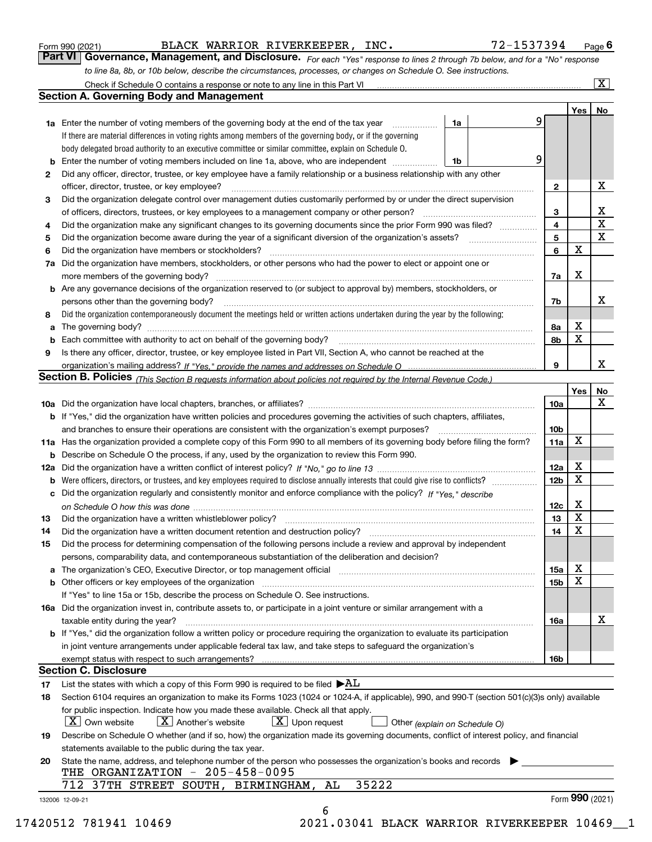|  | Form 990 (2021) |
|--|-----------------|
|  |                 |

BLACK WARRIOR RIVERKEEPER, INC. 72-1537394

*For each "Yes" response to lines 2 through 7b below, and for a "No" response to line 8a, 8b, or 10b below, describe the circumstances, processes, or changes on Schedule O. See instructions.* Form 990 (2021) **BLACK WARRIOR RIVERKEEPER, INC.** 72-1537394 Page 6<br>**Part VI Governance, Management, and Disclosure.** For each "Yes" response to lines 2 through 7b below, and for a "No" response

|     | Check if Schedule O contains a response or note to any line in this Part VI                                                                                                                                                    |    |   |                 |                 | $\overline{\mathbf{X}}$ |
|-----|--------------------------------------------------------------------------------------------------------------------------------------------------------------------------------------------------------------------------------|----|---|-----------------|-----------------|-------------------------|
|     | <b>Section A. Governing Body and Management</b>                                                                                                                                                                                |    |   |                 |                 |                         |
|     |                                                                                                                                                                                                                                |    |   |                 | Yes             | No                      |
|     | <b>1a</b> Enter the number of voting members of the governing body at the end of the tax year<br>.                                                                                                                             | 1a |   | 9               |                 |                         |
|     | If there are material differences in voting rights among members of the governing body, or if the governing                                                                                                                    |    |   |                 |                 |                         |
|     | body delegated broad authority to an executive committee or similar committee, explain on Schedule O.                                                                                                                          |    |   |                 |                 |                         |
|     | Enter the number of voting members included on line 1a, above, who are independent                                                                                                                                             | 1b | 9 |                 |                 |                         |
| 2   | Did any officer, director, trustee, or key employee have a family relationship or a business relationship with any other                                                                                                       |    |   |                 |                 |                         |
|     | officer, director, trustee, or key employee?                                                                                                                                                                                   |    |   | $\mathbf{2}$    |                 | х                       |
| 3   | Did the organization delegate control over management duties customarily performed by or under the direct supervision                                                                                                          |    |   |                 |                 |                         |
|     | of officers, directors, trustees, or key employees to a management company or other person?                                                                                                                                    |    |   | З               |                 | X                       |
| 4   | Did the organization make any significant changes to its governing documents since the prior Form 990 was filed?                                                                                                               |    |   | 4               |                 | $\mathbf X$             |
| 5   | Did the organization become aware during the year of a significant diversion of the organization's assets?                                                                                                                     |    |   | 5               |                 | $\mathbf X$             |
| 6   | Did the organization have members or stockholders?                                                                                                                                                                             |    |   | 6               | X               |                         |
| 7a  | Did the organization have members, stockholders, or other persons who had the power to elect or appoint one or                                                                                                                 |    |   |                 |                 |                         |
|     | more members of the governing body?                                                                                                                                                                                            |    |   | 7a              | X               |                         |
| b   | Are any governance decisions of the organization reserved to (or subject to approval by) members, stockholders, or                                                                                                             |    |   |                 |                 |                         |
|     | persons other than the governing body?                                                                                                                                                                                         |    |   | 7b              |                 | х                       |
| 8   | Did the organization contemporaneously document the meetings held or written actions undertaken during the year by the following:                                                                                              |    |   |                 |                 |                         |
| a   |                                                                                                                                                                                                                                |    |   | 8а              | х               |                         |
|     |                                                                                                                                                                                                                                |    |   | 8b              | X               |                         |
| 9   | Is there any officer, director, trustee, or key employee listed in Part VII, Section A, who cannot be reached at the                                                                                                           |    |   |                 |                 |                         |
|     |                                                                                                                                                                                                                                |    |   | 9               |                 | x                       |
|     | Section B. Policies <sub>(This Section B requests information about policies not required by the Internal Revenue Code.)</sub>                                                                                                 |    |   |                 |                 |                         |
|     |                                                                                                                                                                                                                                |    |   |                 | Yes             | No                      |
|     |                                                                                                                                                                                                                                |    |   | <b>10a</b>      |                 | x                       |
|     | <b>b</b> If "Yes," did the organization have written policies and procedures governing the activities of such chapters, affiliates,                                                                                            |    |   |                 |                 |                         |
|     | and branches to ensure their operations are consistent with the organization's exempt purposes?                                                                                                                                |    |   | 10 <sub>b</sub> |                 |                         |
| 11a | Has the organization provided a complete copy of this Form 990 to all members of its governing body before filing the form?                                                                                                    |    |   | 11a             | X               |                         |
| b   | Describe on Schedule O the process, if any, used by the organization to review this Form 990.                                                                                                                                  |    |   |                 |                 |                         |
| 12a |                                                                                                                                                                                                                                |    |   | 12a             | х               |                         |
| b   | Were officers, directors, or trustees, and key employees required to disclose annually interests that could give rise to conflicts?                                                                                            |    |   | 12 <sub>b</sub> | X               |                         |
| с   | Did the organization regularly and consistently monitor and enforce compliance with the policy? If "Yes." describe                                                                                                             |    |   |                 |                 |                         |
|     |                                                                                                                                                                                                                                |    |   | 12c             | х               |                         |
| 13  | Did the organization have a written whistleblower policy?                                                                                                                                                                      |    |   | 13              | X               |                         |
| 14  | Did the organization have a written document retention and destruction policy?                                                                                                                                                 |    |   | 14              | X               |                         |
| 15  | Did the process for determining compensation of the following persons include a review and approval by independent                                                                                                             |    |   |                 |                 |                         |
|     | persons, comparability data, and contemporaneous substantiation of the deliberation and decision?                                                                                                                              |    |   |                 |                 |                         |
|     | The organization's CEO, Executive Director, or top management official manufactured contains and contained a manufactured with the organization's CEO, Executive Director, or top management official manufactured with the st |    |   | 15a             | Χ               |                         |
|     | Other officers or key employees of the organization                                                                                                                                                                            |    |   | 15 <sub>b</sub> | X               |                         |
|     | If "Yes" to line 15a or 15b, describe the process on Schedule O. See instructions.                                                                                                                                             |    |   |                 |                 |                         |
|     | 16a Did the organization invest in, contribute assets to, or participate in a joint venture or similar arrangement with a                                                                                                      |    |   |                 |                 |                         |
|     | taxable entity during the year?                                                                                                                                                                                                |    |   | 16a             |                 | х                       |
|     | b If "Yes," did the organization follow a written policy or procedure requiring the organization to evaluate its participation                                                                                                 |    |   |                 |                 |                         |
|     | in joint venture arrangements under applicable federal tax law, and take steps to safeguard the organization's                                                                                                                 |    |   |                 |                 |                         |
|     | exempt status with respect to such arrangements?                                                                                                                                                                               |    |   | 16b             |                 |                         |
|     | <b>Section C. Disclosure</b>                                                                                                                                                                                                   |    |   |                 |                 |                         |
| 17  | List the states with which a copy of this Form 990 is required to be filed $\blacktriangleright\! {\rm AL}$                                                                                                                    |    |   |                 |                 |                         |
| 18  | Section 6104 requires an organization to make its Forms 1023 (1024 or 1024-A, if applicable), 990, and 990-T (section 501(c)(3)s only) available                                                                               |    |   |                 |                 |                         |
|     | for public inspection. Indicate how you made these available. Check all that apply.                                                                                                                                            |    |   |                 |                 |                         |
|     | $X$ Upon request<br>$X$ Own website<br>$X$ Another's website                                                                                                                                                                   |    |   |                 |                 |                         |
|     | Other (explain on Schedule O)<br>Describe on Schedule O whether (and if so, how) the organization made its governing documents, conflict of interest policy, and financial                                                     |    |   |                 |                 |                         |
| 19  |                                                                                                                                                                                                                                |    |   |                 |                 |                         |
|     | statements available to the public during the tax year.                                                                                                                                                                        |    |   |                 |                 |                         |
| 20  | State the name, address, and telephone number of the person who possesses the organization's books and records  <br>THE ORGANIZATION - 205-458-0095                                                                            |    |   |                 |                 |                         |
|     | 35222<br>712<br>37TH STREET SOUTH, BIRMINGHAM,<br>AL                                                                                                                                                                           |    |   |                 |                 |                         |
|     |                                                                                                                                                                                                                                |    |   |                 | Form 990 (2021) |                         |
|     | 132006 12-09-21<br>6                                                                                                                                                                                                           |    |   |                 |                 |                         |
|     |                                                                                                                                                                                                                                |    |   |                 |                 |                         |

17420512 781941 10469 2021.03041 BLACK WARRIOR RIVERKEEPER 10469\_\_1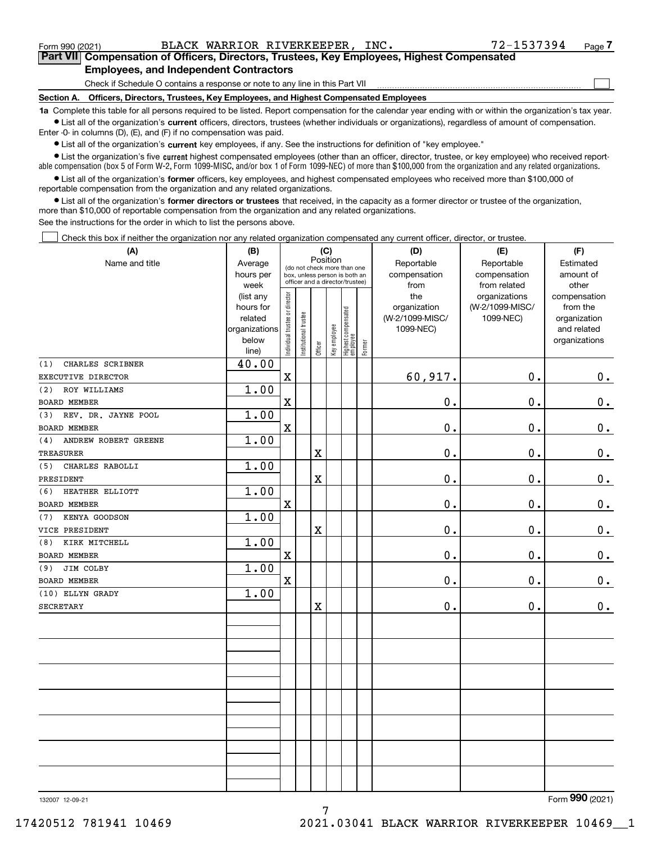$\mathcal{L}^{\text{max}}$ 

**7Part VII Compensation of Officers, Directors, Trustees, Key Employees, Highest Compensated Employees, and Independent Contractors**

Check if Schedule O contains a response or note to any line in this Part VII

**Section A. Officers, Directors, Trustees, Key Employees, and Highest Compensated Employees**

**1a**  Complete this table for all persons required to be listed. Report compensation for the calendar year ending with or within the organization's tax year. **•** List all of the organization's current officers, directors, trustees (whether individuals or organizations), regardless of amount of compensation.

Enter -0- in columns (D), (E), and (F) if no compensation was paid.

 $\bullet$  List all of the organization's  $\sf current$  key employees, if any. See the instructions for definition of "key employee."

**•** List the organization's five current highest compensated employees (other than an officer, director, trustee, or key employee) who received reportable compensation (box 5 of Form W-2, Form 1099-MISC, and/or box 1 of Form 1099-NEC) of more than \$100,000 from the organization and any related organizations.

**•** List all of the organization's former officers, key employees, and highest compensated employees who received more than \$100,000 of reportable compensation from the organization and any related organizations.

**former directors or trustees**  ¥ List all of the organization's that received, in the capacity as a former director or trustee of the organization, more than \$10,000 of reportable compensation from the organization and any related organizations.

See the instructions for the order in which to list the persons above.

Check this box if neither the organization nor any related organization compensated any current officer, director, or trustee.  $\mathcal{L}^{\text{max}}$ 

| (A)                         | (B)                      |                               |                                 |          | (C)          |                                  |        | (D)             | (E)             | (F)                         |
|-----------------------------|--------------------------|-------------------------------|---------------------------------|----------|--------------|----------------------------------|--------|-----------------|-----------------|-----------------------------|
| Name and title              | Average                  |                               | (do not check more than one     | Position |              |                                  |        | Reportable      | Reportable      | Estimated                   |
|                             | hours per                |                               | box, unless person is both an   |          |              |                                  |        | compensation    | compensation    | amount of                   |
|                             | week                     |                               | officer and a director/trustee) |          |              |                                  |        | from            | from related    | other                       |
|                             | (list any                |                               |                                 |          |              |                                  |        | the             | organizations   | compensation                |
|                             | hours for                |                               |                                 |          |              |                                  |        | organization    | (W-2/1099-MISC/ | from the                    |
|                             | related<br>organizations |                               |                                 |          |              |                                  |        | (W-2/1099-MISC/ | 1099-NEC)       | organization<br>and related |
|                             | below                    |                               |                                 |          |              |                                  |        | 1099-NEC)       |                 | organizations               |
|                             | line)                    | ndividual trustee or director | nstitutional trustee            | Officer  | Key employee | Highest compensated<br> employee | Former |                 |                 |                             |
| CHARLES SCRIBNER<br>(1)     | 40.00                    |                               |                                 |          |              |                                  |        |                 |                 |                             |
| EXECUTIVE DIRECTOR          |                          | $\overline{\textbf{X}}$       |                                 |          |              |                                  |        | 60,917.         | $\mathbf{0}$ .  | 0.                          |
| ROY WILLIAMS<br>(2)         | 1.00                     |                               |                                 |          |              |                                  |        |                 |                 |                             |
| <b>BOARD MEMBER</b>         |                          | $\mathbf X$                   |                                 |          |              |                                  |        | $0$ .           | $\mathbf 0$ .   | $\mathbf 0$ .               |
| REV. DR. JAYNE POOL<br>(3)  | 1.00                     |                               |                                 |          |              |                                  |        |                 |                 |                             |
| <b>BOARD MEMBER</b>         |                          | $\mathbf X$                   |                                 |          |              |                                  |        | 0.              | $\mathbf 0$ .   | $\mathbf 0$ .               |
| ANDREW ROBERT GREENE<br>(4) | 1.00                     |                               |                                 |          |              |                                  |        |                 |                 |                             |
| <b>TREASURER</b>            |                          |                               |                                 | X        |              |                                  |        | 0.              | $\mathbf 0$ .   | $0_{.}$                     |
| CHARLES RABOLLI<br>(5)      | 1.00                     |                               |                                 |          |              |                                  |        |                 |                 |                             |
| PRESIDENT                   |                          |                               |                                 | X        |              |                                  |        | 0.              | $\mathbf 0$ .   | $0_{.}$                     |
| HEATHER ELLIOTT<br>(6)      | 1.00                     |                               |                                 |          |              |                                  |        |                 |                 |                             |
| <b>BOARD MEMBER</b>         |                          | $\overline{\textbf{X}}$       |                                 |          |              |                                  |        | 0.              | $\mathbf 0$ .   | $\mathbf 0$ .               |
| KENYA GOODSON<br>(7)        | 1.00                     |                               |                                 |          |              |                                  |        |                 |                 |                             |
| VICE PRESIDENT              |                          |                               |                                 | X        |              |                                  |        | 0.              | $\mathbf 0$ .   | $\mathbf 0$ .               |
| KIRK MITCHELL<br>(8)        | 1.00                     |                               |                                 |          |              |                                  |        |                 |                 |                             |
| <b>BOARD MEMBER</b>         |                          | $\mathbf X$                   |                                 |          |              |                                  |        | 0.              | $\mathbf 0$ .   | $\mathbf 0$ .               |
| JIM COLBY<br>(9)            | 1.00                     |                               |                                 |          |              |                                  |        |                 |                 |                             |
| <b>BOARD MEMBER</b>         |                          | $\mathbf X$                   |                                 |          |              |                                  |        | 0.              | $\mathbf 0$ .   | $\mathbf 0$ .               |
| (10) ELLYN GRADY            | 1.00                     |                               |                                 |          |              |                                  |        |                 |                 |                             |
| <b>SECRETARY</b>            |                          |                               |                                 | X        |              |                                  |        | 0.              | $\mathbf 0$ .   | $0$ .                       |
|                             |                          |                               |                                 |          |              |                                  |        |                 |                 |                             |
|                             |                          |                               |                                 |          |              |                                  |        |                 |                 |                             |
|                             |                          |                               |                                 |          |              |                                  |        |                 |                 |                             |
|                             |                          |                               |                                 |          |              |                                  |        |                 |                 |                             |
|                             |                          |                               |                                 |          |              |                                  |        |                 |                 |                             |
|                             |                          |                               |                                 |          |              |                                  |        |                 |                 |                             |
|                             |                          |                               |                                 |          |              |                                  |        |                 |                 |                             |
|                             |                          |                               |                                 |          |              |                                  |        |                 |                 |                             |
|                             |                          |                               |                                 |          |              |                                  |        |                 |                 |                             |
|                             |                          |                               |                                 |          |              |                                  |        |                 |                 |                             |
|                             |                          |                               |                                 |          |              |                                  |        |                 |                 |                             |
|                             |                          |                               |                                 |          |              |                                  |        |                 |                 |                             |
|                             |                          |                               |                                 |          |              |                                  |        |                 |                 |                             |
|                             |                          |                               |                                 |          |              |                                  |        |                 |                 |                             |

7

132007 12-09-21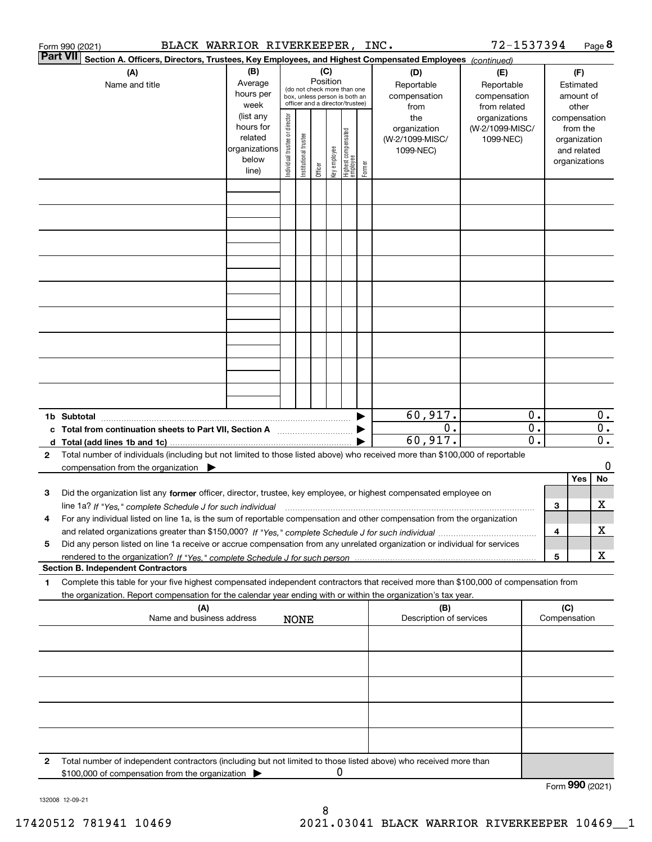|                 | BLACK WARRIOR RIVERKEEPER, INC.<br>Form 990 (2021)                                                                                                   |                          |                                |                       |          |              |                                                              |        |                         | 72-1537394      |    |                 |              | Page 8 |
|-----------------|------------------------------------------------------------------------------------------------------------------------------------------------------|--------------------------|--------------------------------|-----------------------|----------|--------------|--------------------------------------------------------------|--------|-------------------------|-----------------|----|-----------------|--------------|--------|
| <b>Part VII</b> | Section A. Officers, Directors, Trustees, Key Employees, and Highest Compensated Employees (continued)                                               |                          |                                |                       |          |              |                                                              |        |                         |                 |    |                 |              |        |
|                 | (A)                                                                                                                                                  | (B)                      |                                |                       | (C)      |              |                                                              |        | (D)                     | (E)             |    |                 | (F)          |        |
|                 | Name and title                                                                                                                                       | Average                  |                                |                       | Position |              |                                                              |        | Reportable              | Reportable      |    |                 | Estimated    |        |
|                 |                                                                                                                                                      | hours per                |                                |                       |          |              | (do not check more than one<br>box, unless person is both an |        | compensation            | compensation    |    |                 | amount of    |        |
|                 |                                                                                                                                                      | week                     |                                |                       |          |              | officer and a director/trustee)                              |        | from                    | from related    |    |                 | other        |        |
|                 |                                                                                                                                                      | (list any                |                                |                       |          |              |                                                              |        | the                     | organizations   |    | compensation    |              |        |
|                 |                                                                                                                                                      | hours for                |                                |                       |          |              |                                                              |        | organization            | (W-2/1099-MISC/ |    |                 | from the     |        |
|                 |                                                                                                                                                      | related<br>organizations |                                |                       |          |              |                                                              |        | (W-2/1099-MISC/         | 1099-NEC)       |    |                 | organization |        |
|                 |                                                                                                                                                      | below                    |                                |                       |          |              |                                                              |        | 1099-NEC)               |                 |    | organizations   | and related  |        |
|                 |                                                                                                                                                      | line)                    | Individual trustee or director | Institutional trustee | Officer  | key employee | Highest compensated<br>  employee                            | Former |                         |                 |    |                 |              |        |
|                 |                                                                                                                                                      |                          |                                |                       |          |              |                                                              |        |                         |                 |    |                 |              |        |
|                 |                                                                                                                                                      |                          |                                |                       |          |              |                                                              |        |                         |                 |    |                 |              |        |
|                 |                                                                                                                                                      |                          |                                |                       |          |              |                                                              |        |                         |                 |    |                 |              |        |
|                 |                                                                                                                                                      |                          |                                |                       |          |              |                                                              |        |                         |                 |    |                 |              |        |
|                 |                                                                                                                                                      |                          |                                |                       |          |              |                                                              |        |                         |                 |    |                 |              |        |
|                 |                                                                                                                                                      |                          |                                |                       |          |              |                                                              |        |                         |                 |    |                 |              |        |
|                 |                                                                                                                                                      |                          |                                |                       |          |              |                                                              |        |                         |                 |    |                 |              |        |
|                 |                                                                                                                                                      |                          |                                |                       |          |              |                                                              |        |                         |                 |    |                 |              |        |
|                 |                                                                                                                                                      |                          |                                |                       |          |              |                                                              |        |                         |                 |    |                 |              |        |
|                 |                                                                                                                                                      |                          |                                |                       |          |              |                                                              |        |                         |                 |    |                 |              |        |
|                 |                                                                                                                                                      |                          |                                |                       |          |              |                                                              |        |                         |                 |    |                 |              |        |
|                 |                                                                                                                                                      |                          |                                |                       |          |              |                                                              |        |                         |                 |    |                 |              |        |
|                 |                                                                                                                                                      |                          |                                |                       |          |              |                                                              |        |                         |                 |    |                 |              |        |
|                 |                                                                                                                                                      |                          |                                |                       |          |              |                                                              |        |                         |                 |    |                 |              |        |
|                 |                                                                                                                                                      |                          |                                |                       |          |              |                                                              |        |                         |                 |    |                 |              |        |
|                 |                                                                                                                                                      |                          |                                |                       |          |              |                                                              |        |                         |                 |    |                 |              |        |
|                 |                                                                                                                                                      |                          |                                |                       |          |              |                                                              |        |                         |                 |    |                 |              |        |
|                 |                                                                                                                                                      |                          |                                |                       |          |              |                                                              |        |                         |                 |    |                 |              |        |
|                 |                                                                                                                                                      |                          |                                |                       |          |              |                                                              |        |                         |                 |    |                 |              |        |
|                 |                                                                                                                                                      |                          |                                |                       |          |              |                                                              |        | 60,917.                 |                 | 0. |                 |              | 0.     |
|                 | c Total from continuation sheets to Part VII, Section A                                                                                              |                          |                                |                       |          |              |                                                              |        | 0.                      |                 | 0. |                 |              | 0.     |
|                 |                                                                                                                                                      |                          |                                |                       |          |              |                                                              |        | 60,917.                 |                 | 0. |                 |              | $0$ .  |
| 2               | Total number of individuals (including but not limited to those listed above) who received more than \$100,000 of reportable                         |                          |                                |                       |          |              |                                                              |        |                         |                 |    |                 |              |        |
|                 | compensation from the organization $\blacktriangleright$                                                                                             |                          |                                |                       |          |              |                                                              |        |                         |                 |    |                 |              | 0      |
|                 |                                                                                                                                                      |                          |                                |                       |          |              |                                                              |        |                         |                 |    |                 | Yes          | No     |
| 3               | Did the organization list any former officer, director, trustee, key employee, or highest compensated employee on                                    |                          |                                |                       |          |              |                                                              |        |                         |                 |    |                 |              |        |
|                 | line 1a? If "Yes," complete Schedule J for such individual manufactured contained and the line 1a? If "Yes," complete Schedule J for such individual |                          |                                |                       |          |              |                                                              |        |                         |                 |    | 3               |              | x      |
|                 | For any individual listed on line 1a, is the sum of reportable compensation and other compensation from the organization                             |                          |                                |                       |          |              |                                                              |        |                         |                 |    |                 |              |        |
|                 |                                                                                                                                                      |                          |                                |                       |          |              |                                                              |        |                         |                 |    | 4               |              | X      |
| 5               | Did any person listed on line 1a receive or accrue compensation from any unrelated organization or individual for services                           |                          |                                |                       |          |              |                                                              |        |                         |                 |    |                 |              |        |
|                 |                                                                                                                                                      |                          |                                |                       |          |              |                                                              |        |                         |                 |    | 5               |              | х      |
|                 | <b>Section B. Independent Contractors</b>                                                                                                            |                          |                                |                       |          |              |                                                              |        |                         |                 |    |                 |              |        |
| 1.              | Complete this table for your five highest compensated independent contractors that received more than \$100,000 of compensation from                 |                          |                                |                       |          |              |                                                              |        |                         |                 |    |                 |              |        |
|                 | the organization. Report compensation for the calendar year ending with or within the organization's tax year.                                       |                          |                                |                       |          |              |                                                              |        |                         |                 |    |                 |              |        |
|                 | (A)                                                                                                                                                  |                          |                                |                       |          |              |                                                              |        | (B)                     |                 |    | (C)             |              |        |
|                 | Name and business address                                                                                                                            |                          |                                | <b>NONE</b>           |          |              |                                                              |        | Description of services |                 |    | Compensation    |              |        |
|                 |                                                                                                                                                      |                          |                                |                       |          |              |                                                              |        |                         |                 |    |                 |              |        |
|                 |                                                                                                                                                      |                          |                                |                       |          |              |                                                              |        |                         |                 |    |                 |              |        |
|                 |                                                                                                                                                      |                          |                                |                       |          |              |                                                              |        |                         |                 |    |                 |              |        |
|                 |                                                                                                                                                      |                          |                                |                       |          |              |                                                              |        |                         |                 |    |                 |              |        |
|                 |                                                                                                                                                      |                          |                                |                       |          |              |                                                              |        |                         |                 |    |                 |              |        |
|                 |                                                                                                                                                      |                          |                                |                       |          |              |                                                              |        |                         |                 |    |                 |              |        |
|                 |                                                                                                                                                      |                          |                                |                       |          |              |                                                              |        |                         |                 |    |                 |              |        |
|                 |                                                                                                                                                      |                          |                                |                       |          |              |                                                              |        |                         |                 |    |                 |              |        |
|                 |                                                                                                                                                      |                          |                                |                       |          |              |                                                              |        |                         |                 |    |                 |              |        |
|                 |                                                                                                                                                      |                          |                                |                       |          |              |                                                              |        |                         |                 |    |                 |              |        |
| 2               | Total number of independent contractors (including but not limited to those listed above) who received more than                                     |                          |                                |                       |          |              |                                                              |        |                         |                 |    |                 |              |        |
|                 | \$100,000 of compensation from the organization                                                                                                      |                          |                                |                       |          | 0            |                                                              |        |                         |                 |    |                 |              |        |
|                 |                                                                                                                                                      |                          |                                |                       |          |              |                                                              |        |                         |                 |    | Form 990 (2021) |              |        |

132008 12-09-21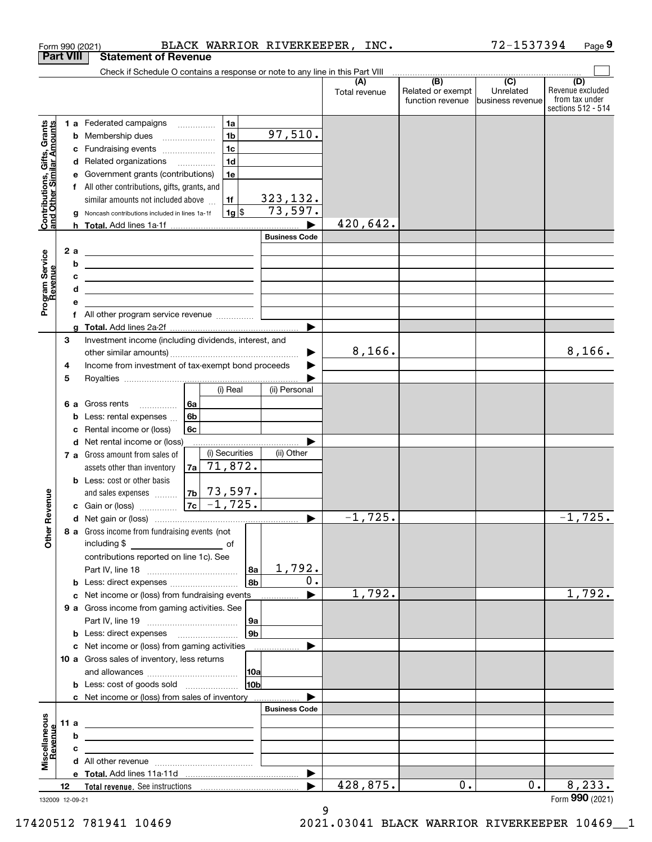|                                                                  | <b>Part VIII</b> |    | Form 990 (2021)<br><b>Statement of Revenue</b>                                                                       |                           |     |                      | BLACK WARRIOR RIVERKEEPER, INC. |                   | 72-1537394       |                                      | Page 9  |
|------------------------------------------------------------------|------------------|----|----------------------------------------------------------------------------------------------------------------------|---------------------------|-----|----------------------|---------------------------------|-------------------|------------------|--------------------------------------|---------|
|                                                                  |                  |    |                                                                                                                      |                           |     |                      |                                 |                   |                  |                                      |         |
|                                                                  |                  |    | Check if Schedule O contains a response or note to any line in this Part VIII                                        |                           |     |                      | (A)                             | $\overline{(B)}$  | $\overline{(C)}$ | (D)                                  |         |
|                                                                  |                  |    |                                                                                                                      |                           |     |                      | Total revenue                   | Related or exempt | Unrelated        | Revenue excluded                     |         |
|                                                                  |                  |    |                                                                                                                      |                           |     |                      |                                 | function revenue  | business revenue | from tax under<br>sections 512 - 514 |         |
|                                                                  |                  |    | <b>1 a</b> Federated campaigns                                                                                       | 1a                        |     |                      |                                 |                   |                  |                                      |         |
| <b>Contributions, Gifts, Grants</b><br>and Other Similar Amounts |                  |    | <b>b</b> Membership dues                                                                                             | 1 <sub>b</sub>            |     | 97,510.              |                                 |                   |                  |                                      |         |
|                                                                  |                  |    | c Fundraising events                                                                                                 | 1 <sub>c</sub>            |     |                      |                                 |                   |                  |                                      |         |
|                                                                  |                  |    | d Related organizations                                                                                              | 1 <sub>d</sub>            |     |                      |                                 |                   |                  |                                      |         |
|                                                                  |                  |    |                                                                                                                      | 1e                        |     |                      |                                 |                   |                  |                                      |         |
|                                                                  |                  |    | e Government grants (contributions)                                                                                  |                           |     |                      |                                 |                   |                  |                                      |         |
|                                                                  |                  |    | f All other contributions, gifts, grants, and                                                                        |                           |     | 323,132.             |                                 |                   |                  |                                      |         |
|                                                                  |                  |    | similar amounts not included above                                                                                   | 1f                        |     | 73,597.              |                                 |                   |                  |                                      |         |
|                                                                  |                  | g  | Noncash contributions included in lines 1a-1f                                                                        | $1g$ \$                   |     |                      |                                 |                   |                  |                                      |         |
|                                                                  |                  |    |                                                                                                                      |                           |     |                      | 420,642.                        |                   |                  |                                      |         |
|                                                                  |                  |    |                                                                                                                      |                           |     | <b>Business Code</b> |                                 |                   |                  |                                      |         |
|                                                                  |                  | 2a |                                                                                                                      |                           |     |                      |                                 |                   |                  |                                      |         |
|                                                                  |                  | b  | <u> 1989 - Johann Barbara, martxa alemaniar arg</u>                                                                  |                           |     |                      |                                 |                   |                  |                                      |         |
|                                                                  |                  | c  | <u> 1989 - Johann Barbara, martxa alemaniar arg</u>                                                                  |                           |     |                      |                                 |                   |                  |                                      |         |
|                                                                  |                  |    | <u> 1989 - Johann Barbara, martin amerikan basar dan berasal dalam basa dalam basar dalam basar dalam basar dala</u> |                           |     |                      |                                 |                   |                  |                                      |         |
| Program Service<br>Revenue                                       |                  |    |                                                                                                                      |                           |     |                      |                                 |                   |                  |                                      |         |
|                                                                  |                  |    | All other program service revenue <i>mimimini</i>                                                                    |                           |     |                      |                                 |                   |                  |                                      |         |
|                                                                  |                  | q  |                                                                                                                      |                           |     |                      |                                 |                   |                  |                                      |         |
|                                                                  | 3                |    | Investment income (including dividends, interest, and                                                                |                           |     |                      |                                 |                   |                  |                                      |         |
|                                                                  |                  |    |                                                                                                                      |                           |     | ▶                    | 8,166.                          |                   |                  |                                      | 8,166.  |
|                                                                  | 4                |    | Income from investment of tax-exempt bond proceeds                                                                   |                           |     |                      |                                 |                   |                  |                                      |         |
|                                                                  | 5                |    |                                                                                                                      |                           |     |                      |                                 |                   |                  |                                      |         |
|                                                                  |                  |    |                                                                                                                      | (i) Real                  |     | (ii) Personal        |                                 |                   |                  |                                      |         |
|                                                                  |                  | 6а | Gross rents                                                                                                          | 6a                        |     |                      |                                 |                   |                  |                                      |         |
|                                                                  |                  | b  | Less: rental expenses                                                                                                | 6 <sub>b</sub>            |     |                      |                                 |                   |                  |                                      |         |
|                                                                  |                  | c  | Rental income or (loss)                                                                                              | 6с                        |     |                      |                                 |                   |                  |                                      |         |
|                                                                  |                  | d  | Net rental income or (loss)                                                                                          |                           |     |                      |                                 |                   |                  |                                      |         |
|                                                                  |                  |    | <b>7 a</b> Gross amount from sales of                                                                                | (i) Securities            |     | (ii) Other           |                                 |                   |                  |                                      |         |
|                                                                  |                  |    | assets other than inventory                                                                                          | 71,872.<br>7a             |     |                      |                                 |                   |                  |                                      |         |
|                                                                  |                  |    | <b>b</b> Less: cost or other basis                                                                                   |                           |     |                      |                                 |                   |                  |                                      |         |
|                                                                  |                  |    | and sales expenses                                                                                                   | 73,597.<br>7 <sub>b</sub> |     |                      |                                 |                   |                  |                                      |         |
| venue                                                            |                  |    | <b>c</b> Gain or (loss) $\ldots$                                                                                     | 7c<br>$-1,725.$           |     |                      |                                 |                   |                  |                                      |         |
|                                                                  |                  |    |                                                                                                                      |                           |     |                      | $-1,725.$                       |                   |                  | $-1,725.$                            |         |
| Other Re                                                         |                  |    | 8 a Gross income from fundraising events (not                                                                        |                           |     |                      |                                 |                   |                  |                                      |         |
|                                                                  |                  |    |                                                                                                                      |                           |     |                      |                                 |                   |                  |                                      |         |
|                                                                  |                  |    | contributions reported on line 1c). See                                                                              |                           |     |                      |                                 |                   |                  |                                      |         |
|                                                                  |                  |    |                                                                                                                      |                           | 8a  | 1,792.               |                                 |                   |                  |                                      |         |
|                                                                  |                  |    | <b>b</b> Less: direct expenses <b>constants b</b>                                                                    |                           | 8b  | 0.                   |                                 |                   |                  |                                      |         |
|                                                                  |                  |    | c Net income or (loss) from fundraising events                                                                       |                           |     |                      | 1,792.                          |                   |                  |                                      | 1,792.  |
|                                                                  |                  |    | 9 a Gross income from gaming activities. See                                                                         |                           |     |                      |                                 |                   |                  |                                      |         |
|                                                                  |                  |    |                                                                                                                      |                           | 9a  |                      |                                 |                   |                  |                                      |         |
|                                                                  |                  |    |                                                                                                                      |                           | 9b  |                      |                                 |                   |                  |                                      |         |
|                                                                  |                  |    | c Net income or (loss) from gaming activities                                                                        |                           |     |                      |                                 |                   |                  |                                      |         |
|                                                                  |                  |    | 10 a Gross sales of inventory, less returns                                                                          |                           |     |                      |                                 |                   |                  |                                      |         |
|                                                                  |                  |    |                                                                                                                      |                           | 10a |                      |                                 |                   |                  |                                      |         |
|                                                                  |                  |    | <b>b</b> Less: cost of goods sold                                                                                    |                           | 10b |                      |                                 |                   |                  |                                      |         |
|                                                                  |                  |    | c Net income or (loss) from sales of inventory                                                                       |                           |     |                      |                                 |                   |                  |                                      |         |
|                                                                  |                  |    |                                                                                                                      |                           |     | <b>Business Code</b> |                                 |                   |                  |                                      |         |
|                                                                  | 11 a             |    |                                                                                                                      |                           |     |                      |                                 |                   |                  |                                      |         |
|                                                                  |                  | b  |                                                                                                                      |                           |     |                      |                                 |                   |                  |                                      |         |
|                                                                  |                  | C  |                                                                                                                      |                           |     |                      |                                 |                   |                  |                                      |         |
| Miscellaneous<br>Revenue                                         |                  |    |                                                                                                                      |                           |     |                      |                                 |                   |                  |                                      |         |
|                                                                  |                  |    |                                                                                                                      |                           |     |                      |                                 |                   |                  |                                      |         |
|                                                                  | 12               |    |                                                                                                                      |                           |     |                      | 428,875.                        | 0.                | 0.               |                                      | 8, 233. |
| 132009 12-09-21                                                  |                  |    |                                                                                                                      |                           |     |                      |                                 |                   |                  | Form 990 (2021)                      |         |

### 132009 12-09-21

9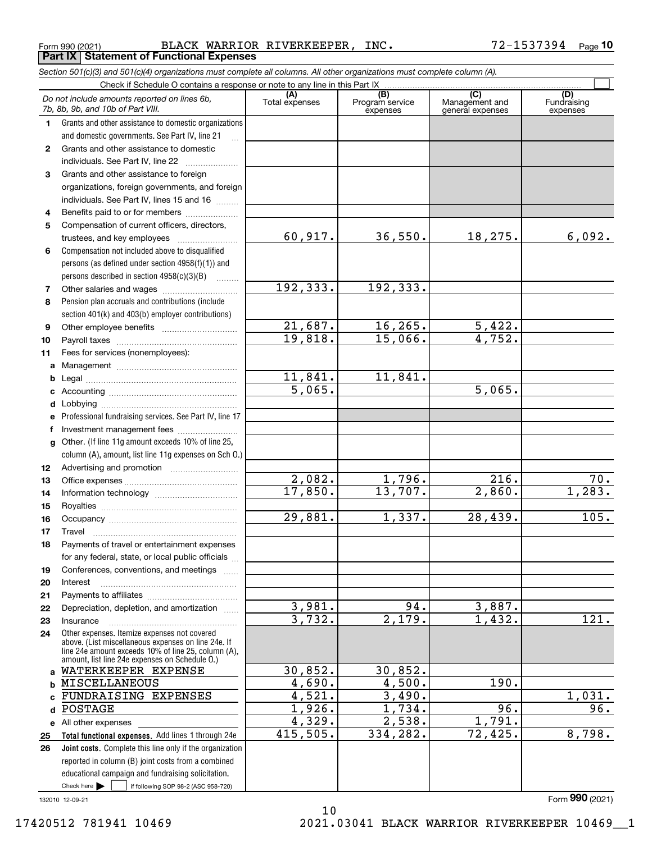Form 990 (2021) Page **Part IX Statement of Functional Expenses** BLACK WARRIOR RIVERKEEPER, INC. 72-1537394

|                  | Section 501(c)(3) and 501(c)(4) organizations must complete all columns. All other organizations must complete column (A).                                                                                   |                       |                                    |                                                      |                                |
|------------------|--------------------------------------------------------------------------------------------------------------------------------------------------------------------------------------------------------------|-----------------------|------------------------------------|------------------------------------------------------|--------------------------------|
|                  | Check if Schedule O contains a response or note to any line in this Part IX.                                                                                                                                 |                       |                                    |                                                      |                                |
|                  | Do not include amounts reported on lines 6b,<br>7b, 8b, 9b, and 10b of Part VIII.                                                                                                                            | (A)<br>Total expenses | (B)<br>Program service<br>expenses | $\overline{C}$<br>Management and<br>general expenses | (D)<br>Fundraising<br>expenses |
| 1.               | Grants and other assistance to domestic organizations                                                                                                                                                        |                       |                                    |                                                      |                                |
|                  | and domestic governments. See Part IV, line 21                                                                                                                                                               |                       |                                    |                                                      |                                |
| $\mathbf{2}$     | Grants and other assistance to domestic                                                                                                                                                                      |                       |                                    |                                                      |                                |
|                  | individuals. See Part IV, line 22                                                                                                                                                                            |                       |                                    |                                                      |                                |
| 3                | Grants and other assistance to foreign                                                                                                                                                                       |                       |                                    |                                                      |                                |
|                  | organizations, foreign governments, and foreign                                                                                                                                                              |                       |                                    |                                                      |                                |
|                  | individuals. See Part IV, lines 15 and 16                                                                                                                                                                    |                       |                                    |                                                      |                                |
| 4                | Benefits paid to or for members                                                                                                                                                                              |                       |                                    |                                                      |                                |
| 5                | Compensation of current officers, directors,                                                                                                                                                                 |                       |                                    |                                                      |                                |
|                  |                                                                                                                                                                                                              | 60,917.               | 36,550.                            | 18,275.                                              | 6,092.                         |
| 6                | Compensation not included above to disqualified                                                                                                                                                              |                       |                                    |                                                      |                                |
|                  | persons (as defined under section 4958(f)(1)) and                                                                                                                                                            |                       |                                    |                                                      |                                |
|                  | persons described in section 4958(c)(3)(B)                                                                                                                                                                   |                       |                                    |                                                      |                                |
| 7                |                                                                                                                                                                                                              | 192, 333.             | 192,333.                           |                                                      |                                |
| 8                | Pension plan accruals and contributions (include                                                                                                                                                             |                       |                                    |                                                      |                                |
|                  | section 401(k) and 403(b) employer contributions)                                                                                                                                                            |                       |                                    |                                                      |                                |
| 9                |                                                                                                                                                                                                              | 21,687.<br>19,818.    | 16, 265.<br>15,066.                | 5,422.<br>4,752.                                     |                                |
| 10               |                                                                                                                                                                                                              |                       |                                    |                                                      |                                |
| 11               | Fees for services (nonemployees):                                                                                                                                                                            |                       |                                    |                                                      |                                |
| а                |                                                                                                                                                                                                              | 11,841.               | 11,841.                            |                                                      |                                |
| b                |                                                                                                                                                                                                              | 5,065.                |                                    | 5,065.                                               |                                |
| c                |                                                                                                                                                                                                              |                       |                                    |                                                      |                                |
| d                |                                                                                                                                                                                                              |                       |                                    |                                                      |                                |
| е<br>f           | Professional fundraising services. See Part IV, line 17                                                                                                                                                      |                       |                                    |                                                      |                                |
|                  | Investment management fees<br>Other. (If line 11g amount exceeds 10% of line 25,                                                                                                                             |                       |                                    |                                                      |                                |
| g                | column (A), amount, list line 11g expenses on Sch O.)                                                                                                                                                        |                       |                                    |                                                      |                                |
| 12 <sup>12</sup> |                                                                                                                                                                                                              |                       |                                    |                                                      |                                |
| 13               |                                                                                                                                                                                                              | 2,082.                | 1,796.                             | 216.                                                 | 70.                            |
| 14               |                                                                                                                                                                                                              | 17,850.               | 13,707.                            | $\overline{2,860}$ .                                 | 1,283.                         |
| 15               |                                                                                                                                                                                                              |                       |                                    |                                                      |                                |
| 16               |                                                                                                                                                                                                              | 29,881.               | 1,337.                             | 28,439.                                              | 105.                           |
| 17               |                                                                                                                                                                                                              |                       |                                    |                                                      |                                |
|                  | Payments of travel or entertainment expenses                                                                                                                                                                 |                       |                                    |                                                      |                                |
|                  | for any federal, state, or local public officials                                                                                                                                                            |                       |                                    |                                                      |                                |
| 19               | Conferences, conventions, and meetings                                                                                                                                                                       |                       |                                    |                                                      |                                |
| 20               | Interest                                                                                                                                                                                                     |                       |                                    |                                                      |                                |
| 21               |                                                                                                                                                                                                              |                       |                                    |                                                      |                                |
| 22               | Depreciation, depletion, and amortization                                                                                                                                                                    | 3,981.                | 94.                                | 3,887.                                               |                                |
| 23               | Insurance                                                                                                                                                                                                    | 3,732.                | 2,179.                             | 1,432.                                               | 121.                           |
| 24               | Other expenses. Itemize expenses not covered<br>above. (List miscellaneous expenses on line 24e. If<br>line 24e amount exceeds 10% of line 25, column (A),<br>amount, list line 24e expenses on Schedule O.) |                       |                                    |                                                      |                                |
|                  | a WATERKEEPER EXPENSE                                                                                                                                                                                        | 30,852.               | 30,852.                            |                                                      |                                |
| b                | MISCELLANEOUS                                                                                                                                                                                                | 4,690.                | 4,500.                             | 190.                                                 |                                |
|                  | FUNDRAISING EXPENSES                                                                                                                                                                                         | 4,521.                | 3,490.                             |                                                      | 1,031.                         |
| d                | POSTAGE                                                                                                                                                                                                      | 1,926.                | 1,734.                             | 96.                                                  | $\overline{96}$ .              |
|                  | e All other expenses                                                                                                                                                                                         | 4,329.                | 2,538.                             | 1,791.                                               |                                |
| 25               | Total functional expenses. Add lines 1 through 24e                                                                                                                                                           | 415,505.              | 334,282.                           | 72,425.                                              | 8,798.                         |
| 26               | <b>Joint costs.</b> Complete this line only if the organization                                                                                                                                              |                       |                                    |                                                      |                                |
|                  | reported in column (B) joint costs from a combined                                                                                                                                                           |                       |                                    |                                                      |                                |
|                  | educational campaign and fundraising solicitation.                                                                                                                                                           |                       |                                    |                                                      |                                |
|                  | Check here $\blacktriangleright$<br>if following SOP 98-2 (ASC 958-720)                                                                                                                                      |                       |                                    |                                                      |                                |

10

132010 12-09-21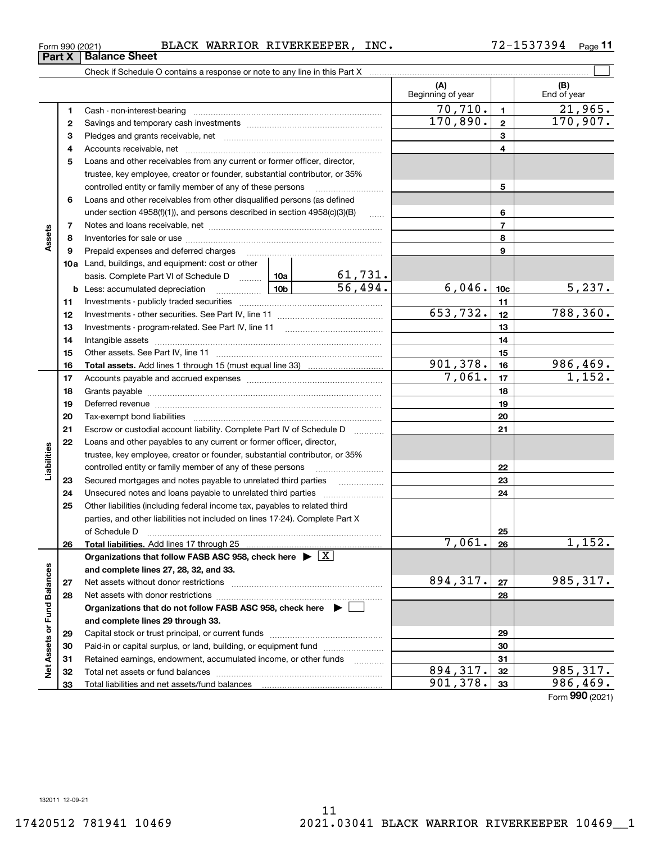**Part X Balance Sheet**

### Form 990 (2021) BLACK WARRIOR RIVERKEEPER,INC。 7 Z-I537394 Page BLACK WARRIOR RIVERKEEPER, INC.

**11**

|                             |    | Check if Schedule O contains a response or note to any line in this Part X                                                                                                                                                     |                           |                          |                 |                        |
|-----------------------------|----|--------------------------------------------------------------------------------------------------------------------------------------------------------------------------------------------------------------------------------|---------------------------|--------------------------|-----------------|------------------------|
|                             |    |                                                                                                                                                                                                                                |                           | (A)<br>Beginning of year |                 | (B)<br>End of year     |
|                             | 1  |                                                                                                                                                                                                                                |                           | 70, 710.                 | $\blacksquare$  | $\overline{21,965}$ .  |
|                             | 2  |                                                                                                                                                                                                                                |                           | 170,890.                 | $\mathbf{2}$    | 170,907.               |
|                             | з  |                                                                                                                                                                                                                                |                           |                          | 3               |                        |
|                             | 4  |                                                                                                                                                                                                                                |                           |                          | 4               |                        |
|                             | 5  | Loans and other receivables from any current or former officer, director,                                                                                                                                                      |                           |                          |                 |                        |
|                             |    | trustee, key employee, creator or founder, substantial contributor, or 35%                                                                                                                                                     |                           |                          |                 |                        |
|                             |    | controlled entity or family member of any of these persons                                                                                                                                                                     |                           |                          | 5               |                        |
|                             | 6  | Loans and other receivables from other disqualified persons (as defined                                                                                                                                                        |                           |                          |                 |                        |
|                             |    | under section $4958(f)(1)$ , and persons described in section $4958(c)(3)(B)$                                                                                                                                                  | $\sim$                    |                          | 6               |                        |
|                             | 7  |                                                                                                                                                                                                                                |                           |                          | $\overline{7}$  |                        |
| Assets                      | 8  |                                                                                                                                                                                                                                |                           |                          | 8               |                        |
|                             | 9  | Prepaid expenses and deferred charges                                                                                                                                                                                          |                           |                          | 9               |                        |
|                             |    | <b>10a</b> Land, buildings, and equipment: cost or other                                                                                                                                                                       |                           |                          |                 |                        |
|                             |    | basis. Complete Part VI of Schedule D  10a                                                                                                                                                                                     |                           |                          |                 |                        |
|                             |    | <b>b</b> Less: accumulated depreciation                                                                                                                                                                                        | $\frac{61,731}{56,494}$ . | 6,046.                   | 10 <sub>c</sub> | 5,237.                 |
|                             | 11 |                                                                                                                                                                                                                                |                           |                          | 11              |                        |
|                             | 12 |                                                                                                                                                                                                                                |                           | 653,732.                 | 12              | $\overline{788,360}$ . |
|                             | 13 |                                                                                                                                                                                                                                |                           |                          | 13              |                        |
|                             | 14 |                                                                                                                                                                                                                                |                           |                          | 14              |                        |
|                             | 15 |                                                                                                                                                                                                                                |                           |                          | 15              |                        |
|                             | 16 |                                                                                                                                                                                                                                |                           | 901, 378.                | 16              | 986,469.               |
|                             | 17 |                                                                                                                                                                                                                                |                           | 7,061.                   | 17              | 1,152.                 |
|                             | 18 |                                                                                                                                                                                                                                |                           |                          | 18              |                        |
|                             | 19 | Deferred revenue manual contracts and contracts are all the contracts and contracts are contracted and contracts are contracted and contract are contracted and contract are contracted and contract are contracted and contra |                           |                          | 19              |                        |
|                             | 20 |                                                                                                                                                                                                                                |                           |                          | 20              |                        |
|                             | 21 | Escrow or custodial account liability. Complete Part IV of Schedule D                                                                                                                                                          |                           |                          | 21              |                        |
|                             | 22 | Loans and other payables to any current or former officer, director,                                                                                                                                                           |                           |                          |                 |                        |
|                             |    | trustee, key employee, creator or founder, substantial contributor, or 35%                                                                                                                                                     |                           |                          |                 |                        |
| Liabilities                 |    | controlled entity or family member of any of these persons                                                                                                                                                                     |                           |                          | 22              |                        |
|                             | 23 | Secured mortgages and notes payable to unrelated third parties                                                                                                                                                                 |                           |                          | 23              |                        |
|                             | 24 |                                                                                                                                                                                                                                |                           |                          | 24              |                        |
|                             | 25 | Other liabilities (including federal income tax, payables to related third                                                                                                                                                     |                           |                          |                 |                        |
|                             |    | parties, and other liabilities not included on lines 17-24). Complete Part X                                                                                                                                                   |                           |                          |                 |                        |
|                             |    | of Schedule D                                                                                                                                                                                                                  |                           |                          | 25              |                        |
|                             | 26 |                                                                                                                                                                                                                                |                           | 7,061.                   | 26              | 1,152.                 |
|                             |    | Organizations that follow FASB ASC 958, check here $\triangleright \lfloor X \rfloor$                                                                                                                                          |                           |                          |                 |                        |
|                             |    | and complete lines 27, 28, 32, and 33.                                                                                                                                                                                         |                           |                          |                 |                        |
|                             | 27 |                                                                                                                                                                                                                                |                           | 894,317.                 | 27              | 985, 317.              |
|                             | 28 |                                                                                                                                                                                                                                |                           |                          | 28              |                        |
|                             |    | Organizations that do not follow FASB ASC 958, check here $\blacktriangleright$                                                                                                                                                |                           |                          |                 |                        |
|                             |    | and complete lines 29 through 33.                                                                                                                                                                                              |                           |                          |                 |                        |
|                             | 29 |                                                                                                                                                                                                                                |                           |                          | 29              |                        |
|                             | 30 | Paid-in or capital surplus, or land, building, or equipment fund                                                                                                                                                               |                           |                          | 30              |                        |
| Net Assets or Fund Balances | 31 | Retained earnings, endowment, accumulated income, or other funds                                                                                                                                                               |                           |                          | 31              |                        |
|                             | 32 |                                                                                                                                                                                                                                |                           | 894, 317.                | 32              | 985,317.               |
|                             | 33 |                                                                                                                                                                                                                                |                           | 901,378.                 | 33              | 986,469.               |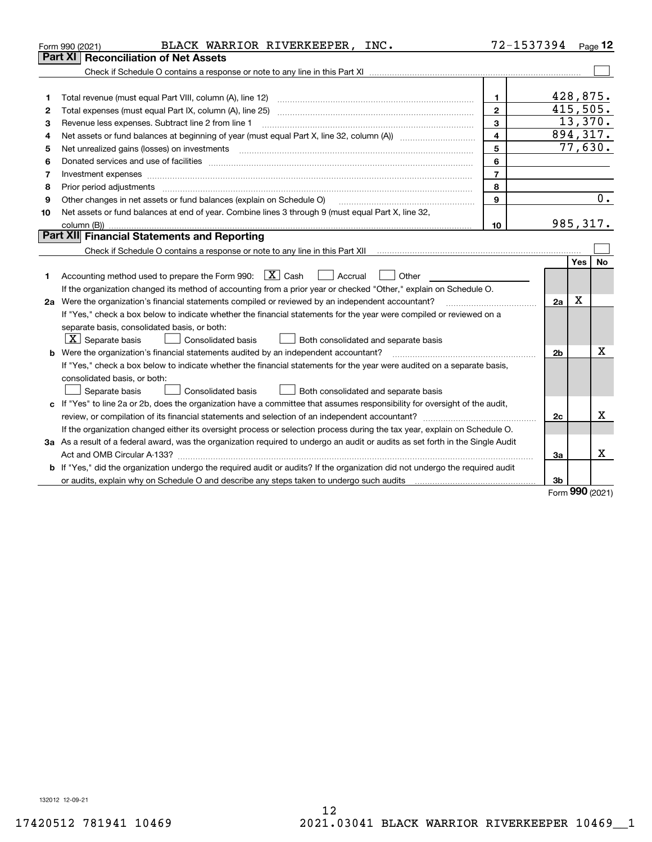|    | BLACK WARRIOR RIVERKEEPER, INC.<br>Form 990 (2021)                                                                                                                                                                             | 72-1537394              |                |                 | Page $12$ |
|----|--------------------------------------------------------------------------------------------------------------------------------------------------------------------------------------------------------------------------------|-------------------------|----------------|-----------------|-----------|
|    | Part XI<br><b>Reconciliation of Net Assets</b>                                                                                                                                                                                 |                         |                |                 |           |
|    |                                                                                                                                                                                                                                |                         |                |                 |           |
|    |                                                                                                                                                                                                                                |                         |                |                 |           |
| 1  |                                                                                                                                                                                                                                | $\mathbf{1}$            |                | 428,875.        |           |
| 2  |                                                                                                                                                                                                                                | $\overline{2}$          |                | 415,505.        |           |
| з  | Revenue less expenses. Subtract line 2 from line 1                                                                                                                                                                             | 3                       |                |                 | 13,370.   |
| 4  |                                                                                                                                                                                                                                | $\overline{\mathbf{4}}$ |                |                 | 894,317.  |
| 5  |                                                                                                                                                                                                                                | 5                       |                | 77,630.         |           |
| 6  |                                                                                                                                                                                                                                | 6                       |                |                 |           |
| 7  |                                                                                                                                                                                                                                | $\overline{7}$          |                |                 |           |
| 8  | Prior period adjustments material contents and content of the content of the content of the content of the content of the content of the content of the content of the content of the content of the content of the content of | 8                       |                |                 |           |
| 9  | Other changes in net assets or fund balances (explain on Schedule O)                                                                                                                                                           | 9                       |                |                 | 0.        |
| 10 | Net assets or fund balances at end of year. Combine lines 3 through 9 (must equal Part X, line 32,                                                                                                                             |                         |                |                 |           |
|    |                                                                                                                                                                                                                                | 10                      |                | 985,317.        |           |
|    | Part XII Financial Statements and Reporting                                                                                                                                                                                    |                         |                |                 |           |
|    |                                                                                                                                                                                                                                |                         |                |                 |           |
|    |                                                                                                                                                                                                                                |                         |                | Yes             | No        |
| 1  | Accounting method used to prepare the Form 990: $\boxed{\textbf{X}}$ Cash<br>Accrual<br>Other                                                                                                                                  |                         |                |                 |           |
|    | If the organization changed its method of accounting from a prior year or checked "Other," explain on Schedule O.                                                                                                              |                         |                |                 |           |
|    | 2a Were the organization's financial statements compiled or reviewed by an independent accountant?                                                                                                                             |                         | 2a             | X               |           |
|    | If "Yes," check a box below to indicate whether the financial statements for the year were compiled or reviewed on a                                                                                                           |                         |                |                 |           |
|    | separate basis, consolidated basis, or both:                                                                                                                                                                                   |                         |                |                 |           |
|    | $X$ Separate basis<br>Consolidated basis<br>Both consolidated and separate basis                                                                                                                                               |                         |                |                 |           |
|    | <b>b</b> Were the organization's financial statements audited by an independent accountant?                                                                                                                                    |                         | 2 <sub>b</sub> |                 | Χ         |
|    | If "Yes," check a box below to indicate whether the financial statements for the year were audited on a separate basis,                                                                                                        |                         |                |                 |           |
|    | consolidated basis, or both:                                                                                                                                                                                                   |                         |                |                 |           |
|    | Separate basis<br>Consolidated basis<br>Both consolidated and separate basis                                                                                                                                                   |                         |                |                 |           |
|    | c If "Yes" to line 2a or 2b, does the organization have a committee that assumes responsibility for oversight of the audit,                                                                                                    |                         |                |                 |           |
|    |                                                                                                                                                                                                                                |                         | 2c             |                 | x         |
|    | If the organization changed either its oversight process or selection process during the tax year, explain on Schedule O.                                                                                                      |                         |                |                 |           |
|    | 3a As a result of a federal award, was the organization required to undergo an audit or audits as set forth in the Single Audit                                                                                                |                         |                |                 |           |
|    |                                                                                                                                                                                                                                |                         | 3a             |                 | x         |
|    | b If "Yes," did the organization undergo the required audit or audits? If the organization did not undergo the required audit                                                                                                  |                         |                |                 |           |
|    |                                                                                                                                                                                                                                |                         | 3b             |                 |           |
|    |                                                                                                                                                                                                                                |                         |                | $\mathbf{on}$ . |           |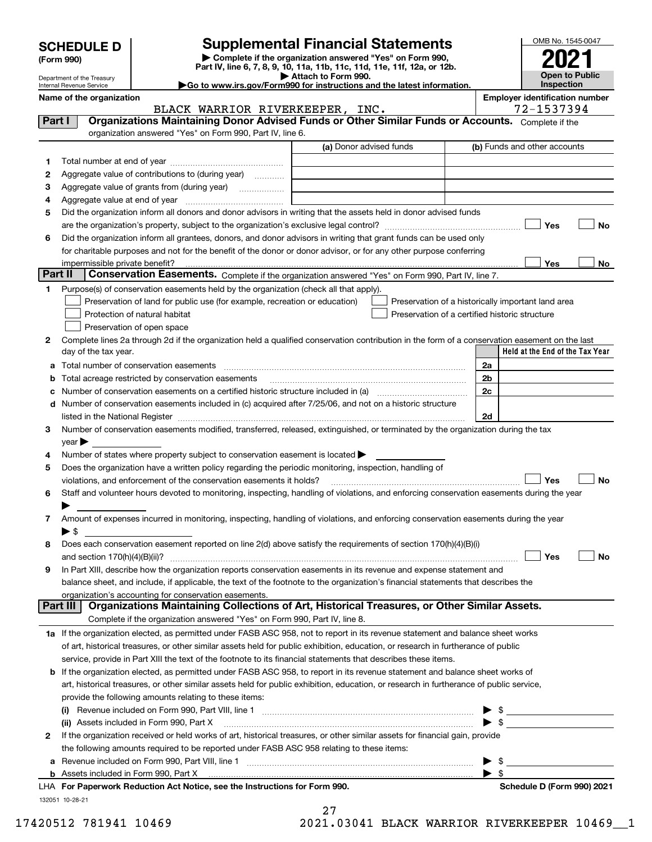|  | <b>SCHEDULE D</b> |  |  |  |
|--|-------------------|--|--|--|
|--|-------------------|--|--|--|

| (Form 990) |
|------------|
|            |

## **Supplemental Financial Statements**

**| Complete if the organization answered "Yes" on Form 990, Part IV, line 6, 7, 8, 9, 10, 11a, 11b, 11c, 11d, 11e, 11f, 12a, or 12b. | Attach to Form 990.**



|         | Department of the Treasury<br>Internal Revenue Service |                                                                                                                                                                                                                                                          | AILICII IO FOITH 990.<br>Go to www.irs.gov/Form990 for instructions and the latest information. |                                                    | Open to Equite<br>Inspection          |
|---------|--------------------------------------------------------|----------------------------------------------------------------------------------------------------------------------------------------------------------------------------------------------------------------------------------------------------------|-------------------------------------------------------------------------------------------------|----------------------------------------------------|---------------------------------------|
|         | Name of the organization                               |                                                                                                                                                                                                                                                          |                                                                                                 |                                                    | <b>Employer identification number</b> |
|         |                                                        | BLACK WARRIOR RIVERKEEPER, INC.                                                                                                                                                                                                                          |                                                                                                 |                                                    | 72-1537394                            |
| Part I  |                                                        | Organizations Maintaining Donor Advised Funds or Other Similar Funds or Accounts. Complete if the                                                                                                                                                        |                                                                                                 |                                                    |                                       |
|         |                                                        | organization answered "Yes" on Form 990, Part IV, line 6.                                                                                                                                                                                                |                                                                                                 |                                                    |                                       |
|         |                                                        |                                                                                                                                                                                                                                                          | (a) Donor advised funds                                                                         |                                                    | (b) Funds and other accounts          |
| 1.      |                                                        |                                                                                                                                                                                                                                                          |                                                                                                 |                                                    |                                       |
| 2       |                                                        | Aggregate value of contributions to (during year)                                                                                                                                                                                                        |                                                                                                 |                                                    |                                       |
| з       |                                                        |                                                                                                                                                                                                                                                          |                                                                                                 |                                                    |                                       |
| 4       |                                                        |                                                                                                                                                                                                                                                          |                                                                                                 |                                                    |                                       |
| 5       |                                                        | Did the organization inform all donors and donor advisors in writing that the assets held in donor advised funds                                                                                                                                         |                                                                                                 |                                                    |                                       |
|         |                                                        |                                                                                                                                                                                                                                                          |                                                                                                 |                                                    | Yes<br>No                             |
| 6       |                                                        | Did the organization inform all grantees, donors, and donor advisors in writing that grant funds can be used only                                                                                                                                        |                                                                                                 |                                                    |                                       |
|         |                                                        | for charitable purposes and not for the benefit of the donor or donor advisor, or for any other purpose conferring                                                                                                                                       |                                                                                                 |                                                    |                                       |
|         | impermissible private benefit?                         |                                                                                                                                                                                                                                                          |                                                                                                 |                                                    | Yes<br>No                             |
| Part II |                                                        | Conservation Easements. Complete if the organization answered "Yes" on Form 990, Part IV, line 7.                                                                                                                                                        |                                                                                                 |                                                    |                                       |
| 1.      |                                                        | Purpose(s) of conservation easements held by the organization (check all that apply).                                                                                                                                                                    |                                                                                                 |                                                    |                                       |
|         |                                                        | Preservation of land for public use (for example, recreation or education)                                                                                                                                                                               |                                                                                                 | Preservation of a historically important land area |                                       |
|         |                                                        | Protection of natural habitat                                                                                                                                                                                                                            |                                                                                                 | Preservation of a certified historic structure     |                                       |
|         |                                                        | Preservation of open space                                                                                                                                                                                                                               |                                                                                                 |                                                    |                                       |
| 2       |                                                        | Complete lines 2a through 2d if the organization held a qualified conservation contribution in the form of a conservation easement on the last                                                                                                           |                                                                                                 |                                                    |                                       |
|         | day of the tax year.                                   |                                                                                                                                                                                                                                                          |                                                                                                 |                                                    | Held at the End of the Tax Year       |
| а       |                                                        |                                                                                                                                                                                                                                                          |                                                                                                 | 2a                                                 |                                       |
| b       |                                                        | Total acreage restricted by conservation easements                                                                                                                                                                                                       |                                                                                                 | 2b                                                 |                                       |
|         |                                                        | Number of conservation easements on a certified historic structure included in (a) <i>mummumumumum</i>                                                                                                                                                   |                                                                                                 | 2c                                                 |                                       |
| d       |                                                        | Number of conservation easements included in (c) acquired after 7/25/06, and not on a historic structure                                                                                                                                                 |                                                                                                 |                                                    |                                       |
|         |                                                        | listed in the National Register [11, 11] The Marian Community of the National Property of the National Register                                                                                                                                          |                                                                                                 | 2d                                                 |                                       |
| 3       |                                                        | Number of conservation easements modified, transferred, released, extinguished, or terminated by the organization during the tax                                                                                                                         |                                                                                                 |                                                    |                                       |
|         | $year \blacktriangleright$                             |                                                                                                                                                                                                                                                          |                                                                                                 |                                                    |                                       |
| 4       |                                                        | Number of states where property subject to conservation easement is located >                                                                                                                                                                            |                                                                                                 |                                                    |                                       |
| 5       |                                                        | Does the organization have a written policy regarding the periodic monitoring, inspection, handling of                                                                                                                                                   |                                                                                                 |                                                    |                                       |
|         |                                                        | violations, and enforcement of the conservation easements it holds?                                                                                                                                                                                      |                                                                                                 |                                                    | Yes<br>No                             |
| 6       |                                                        | Staff and volunteer hours devoted to monitoring, inspecting, handling of violations, and enforcing conservation easements during the year                                                                                                                |                                                                                                 |                                                    |                                       |
|         |                                                        |                                                                                                                                                                                                                                                          |                                                                                                 |                                                    |                                       |
| 7       |                                                        | Amount of expenses incurred in monitoring, inspecting, handling of violations, and enforcing conservation easements during the year                                                                                                                      |                                                                                                 |                                                    |                                       |
|         | $\blacktriangleright$ \$                               |                                                                                                                                                                                                                                                          |                                                                                                 |                                                    |                                       |
| 8       |                                                        | Does each conservation easement reported on line 2(d) above satisfy the requirements of section 170(h)(4)(B)(i)                                                                                                                                          |                                                                                                 |                                                    |                                       |
|         | and section 170(h)(4)(B)(ii)?                          |                                                                                                                                                                                                                                                          |                                                                                                 |                                                    | No<br>Yes                             |
| 9       |                                                        | In Part XIII, describe how the organization reports conservation easements in its revenue and expense statement and<br>balance sheet, and include, if applicable, the text of the footnote to the organization's financial statements that describes the |                                                                                                 |                                                    |                                       |
|         |                                                        | organization's accounting for conservation easements.                                                                                                                                                                                                    |                                                                                                 |                                                    |                                       |
|         | Part III                                               | Organizations Maintaining Collections of Art, Historical Treasures, or Other Similar Assets.                                                                                                                                                             |                                                                                                 |                                                    |                                       |
|         |                                                        | Complete if the organization answered "Yes" on Form 990, Part IV, line 8.                                                                                                                                                                                |                                                                                                 |                                                    |                                       |
|         |                                                        | 1a If the organization elected, as permitted under FASB ASC 958, not to report in its revenue statement and balance sheet works                                                                                                                          |                                                                                                 |                                                    |                                       |
|         |                                                        | of art, historical treasures, or other similar assets held for public exhibition, education, or research in furtherance of public                                                                                                                        |                                                                                                 |                                                    |                                       |
|         |                                                        | service, provide in Part XIII the text of the footnote to its financial statements that describes these items.                                                                                                                                           |                                                                                                 |                                                    |                                       |
|         |                                                        | <b>b</b> If the organization elected, as permitted under FASB ASC 958, to report in its revenue statement and balance sheet works of                                                                                                                     |                                                                                                 |                                                    |                                       |
|         |                                                        | art, historical treasures, or other similar assets held for public exhibition, education, or research in furtherance of public service,                                                                                                                  |                                                                                                 |                                                    |                                       |
|         |                                                        | provide the following amounts relating to these items:                                                                                                                                                                                                   |                                                                                                 |                                                    |                                       |
|         |                                                        |                                                                                                                                                                                                                                                          |                                                                                                 | \$                                                 |                                       |
|         |                                                        | (ii) Assets included in Form 990, Part X                                                                                                                                                                                                                 |                                                                                                 | $\blacktriangleright$ s                            |                                       |
| 2       |                                                        | If the organization received or held works of art, historical treasures, or other similar assets for financial gain, provide                                                                                                                             |                                                                                                 |                                                    |                                       |
|         |                                                        | the following amounts required to be reported under FASB ASC 958 relating to these items:                                                                                                                                                                |                                                                                                 |                                                    |                                       |
|         |                                                        | a Revenue included on Form 990, Part VIII, line 1                                                                                                                                                                                                        |                                                                                                 | ► \$                                               |                                       |

**b** Assets included in Form 990, Part X

27

 $\blacktriangleright$  \$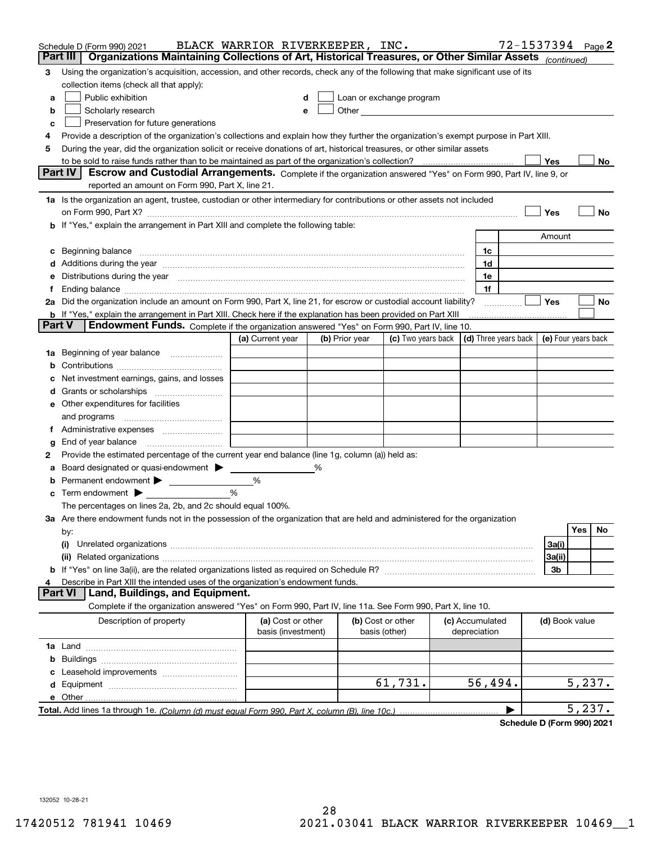| Organizations Maintaining Collections of Art, Historical Treasures, or Other Similar Assets (continued)<br>Part III<br>Using the organization's acquisition, accession, and other records, check any of the following that make significant use of its<br>3<br>collection items (check all that apply):<br>Public exhibition<br>Loan or exchange program<br>a<br>Other <u>with the contract of the contract of the contract of the contract of the contract of the contract of the contract of the contract of the contract of the contract of the contract of the contract of the contract of th</u><br>Scholarly research<br>b<br>е<br>Preservation for future generations<br>с<br>Provide a description of the organization's collections and explain how they further the organization's exempt purpose in Part XIII.<br>4<br>During the year, did the organization solicit or receive donations of art, historical treasures, or other similar assets<br>5<br>to be sold to raise funds rather than to be maintained as part of the organization's collection?<br>Yes<br>No<br><b>Part IV</b><br>Escrow and Custodial Arrangements. Complete if the organization answered "Yes" on Form 990, Part IV, line 9, or<br>reported an amount on Form 990, Part X, line 21.<br>1a Is the organization an agent, trustee, custodian or other intermediary for contributions or other assets not included<br>Yes<br>No<br>on Form 990, Part X? [11] matter contracts and contracts and contracts are contracted and contracts are contracted and contract and contract of the contract of the contract of the contract of the contract of the contract o<br>b If "Yes," explain the arrangement in Part XIII and complete the following table:<br>Amount<br>Beginning balance material content contracts and content and content and content and content and content and content and content and content and content and content and content and content and content and content and conte<br>1c<br>c<br>1d<br>Additions during the year manufactured and an account of the year and account of the year manufactured and account of the year and account of the year and account of the year and account of the state of the state of the st<br>Distributions during the year manufactured and an account of the year manufactured and the year manufactured and the year manufactured and the year manufactured and the year manufactured and the year manufactured and the y<br>1e<br>1f<br>Ť.<br>2a Did the organization include an amount on Form 990, Part X, line 21, for escrow or custodial account liability?<br>Yes<br>No<br>.<br><b>b</b> If "Yes," explain the arrangement in Part XIII. Check here if the explanation has been provided on Part XIII<br>Part V<br>Endowment Funds. Complete if the organization answered "Yes" on Form 990, Part IV, line 10.<br>$\vert$ (d) Three years back $\vert$<br>(c) Two years back<br>(e) Four years back<br>(a) Current year<br>(b) Prior year<br>Beginning of year balance<br>1a<br>Net investment earnings, gains, and losses<br>d<br>e Other expenditures for facilities<br>and programs<br>g<br>Provide the estimated percentage of the current year end balance (line 1g, column (a)) held as:<br>2<br>Board designated or quasi-endowment<br>℅<br>а<br>Permanent endowment > 1<br>%<br>%<br>Term endowment $\blacktriangleright$<br>The percentages on lines 2a, 2b, and 2c should equal 100%.<br>3a Are there endowment funds not in the possession of the organization that are held and administered for the organization<br>Yes<br>No<br>by:<br>3a(i)<br>(i)<br>3a(ii)<br>3b<br>Describe in Part XIII the intended uses of the organization's endowment funds.<br>Land, Buildings, and Equipment.<br>Part VI<br>Complete if the organization answered "Yes" on Form 990, Part IV, line 11a. See Form 990, Part X, line 10.<br>Description of property<br>(a) Cost or other<br>(b) Cost or other<br>(c) Accumulated<br>(d) Book value<br>basis (investment)<br>basis (other)<br>depreciation<br>b<br>61,731.<br>56,494.<br>5,237.<br>e Other<br>5,237. | Schedule D (Form 990) 2021 | BLACK WARRIOR RIVERKEEPER, INC. |  |  | 72-1537394 Page 2 |  |  |
|---------------------------------------------------------------------------------------------------------------------------------------------------------------------------------------------------------------------------------------------------------------------------------------------------------------------------------------------------------------------------------------------------------------------------------------------------------------------------------------------------------------------------------------------------------------------------------------------------------------------------------------------------------------------------------------------------------------------------------------------------------------------------------------------------------------------------------------------------------------------------------------------------------------------------------------------------------------------------------------------------------------------------------------------------------------------------------------------------------------------------------------------------------------------------------------------------------------------------------------------------------------------------------------------------------------------------------------------------------------------------------------------------------------------------------------------------------------------------------------------------------------------------------------------------------------------------------------------------------------------------------------------------------------------------------------------------------------------------------------------------------------------------------------------------------------------------------------------------------------------------------------------------------------------------------------------------------------------------------------------------------------------------------------------------------------------------------------------------------------------------------------------------------------------------------------------------------------------------------------------------------------------------------------------------------------------------------------------------------------------------------------------------------------------------------------------------------------------------------------------------------------------------------------------------------------------------------------------------------------------------------------------------------------------------------------------------------------------------------------------------------------------------------------------------------------------------------------------------------------------------------------------------------------------------------------------------------------------------------------------------------------------------------------------------------------------------------------------------------------------------------------------------------------------------------------------------------------------------------------------------------------------------------------------------------------------------------------------------------------------------------------------------------------------------------------------------------------------------------------------------------------------------------------------------------------------------------------------------------------------------------------------------------------------------------------------------------------------------------------------------------------------------------------------------------------------------------------------------------------------------------------------------------------------------------------------------------------------------------------------------------------------------------------------------------------------------------------------------------------------|----------------------------|---------------------------------|--|--|-------------------|--|--|
|                                                                                                                                                                                                                                                                                                                                                                                                                                                                                                                                                                                                                                                                                                                                                                                                                                                                                                                                                                                                                                                                                                                                                                                                                                                                                                                                                                                                                                                                                                                                                                                                                                                                                                                                                                                                                                                                                                                                                                                                                                                                                                                                                                                                                                                                                                                                                                                                                                                                                                                                                                                                                                                                                                                                                                                                                                                                                                                                                                                                                                                                                                                                                                                                                                                                                                                                                                                                                                                                                                                                                                                                                                                                                                                                                                                                                                                                                                                                                                                                                                                                                                                     |                            |                                 |  |  |                   |  |  |
|                                                                                                                                                                                                                                                                                                                                                                                                                                                                                                                                                                                                                                                                                                                                                                                                                                                                                                                                                                                                                                                                                                                                                                                                                                                                                                                                                                                                                                                                                                                                                                                                                                                                                                                                                                                                                                                                                                                                                                                                                                                                                                                                                                                                                                                                                                                                                                                                                                                                                                                                                                                                                                                                                                                                                                                                                                                                                                                                                                                                                                                                                                                                                                                                                                                                                                                                                                                                                                                                                                                                                                                                                                                                                                                                                                                                                                                                                                                                                                                                                                                                                                                     |                            |                                 |  |  |                   |  |  |
|                                                                                                                                                                                                                                                                                                                                                                                                                                                                                                                                                                                                                                                                                                                                                                                                                                                                                                                                                                                                                                                                                                                                                                                                                                                                                                                                                                                                                                                                                                                                                                                                                                                                                                                                                                                                                                                                                                                                                                                                                                                                                                                                                                                                                                                                                                                                                                                                                                                                                                                                                                                                                                                                                                                                                                                                                                                                                                                                                                                                                                                                                                                                                                                                                                                                                                                                                                                                                                                                                                                                                                                                                                                                                                                                                                                                                                                                                                                                                                                                                                                                                                                     |                            |                                 |  |  |                   |  |  |
|                                                                                                                                                                                                                                                                                                                                                                                                                                                                                                                                                                                                                                                                                                                                                                                                                                                                                                                                                                                                                                                                                                                                                                                                                                                                                                                                                                                                                                                                                                                                                                                                                                                                                                                                                                                                                                                                                                                                                                                                                                                                                                                                                                                                                                                                                                                                                                                                                                                                                                                                                                                                                                                                                                                                                                                                                                                                                                                                                                                                                                                                                                                                                                                                                                                                                                                                                                                                                                                                                                                                                                                                                                                                                                                                                                                                                                                                                                                                                                                                                                                                                                                     |                            |                                 |  |  |                   |  |  |
|                                                                                                                                                                                                                                                                                                                                                                                                                                                                                                                                                                                                                                                                                                                                                                                                                                                                                                                                                                                                                                                                                                                                                                                                                                                                                                                                                                                                                                                                                                                                                                                                                                                                                                                                                                                                                                                                                                                                                                                                                                                                                                                                                                                                                                                                                                                                                                                                                                                                                                                                                                                                                                                                                                                                                                                                                                                                                                                                                                                                                                                                                                                                                                                                                                                                                                                                                                                                                                                                                                                                                                                                                                                                                                                                                                                                                                                                                                                                                                                                                                                                                                                     |                            |                                 |  |  |                   |  |  |
|                                                                                                                                                                                                                                                                                                                                                                                                                                                                                                                                                                                                                                                                                                                                                                                                                                                                                                                                                                                                                                                                                                                                                                                                                                                                                                                                                                                                                                                                                                                                                                                                                                                                                                                                                                                                                                                                                                                                                                                                                                                                                                                                                                                                                                                                                                                                                                                                                                                                                                                                                                                                                                                                                                                                                                                                                                                                                                                                                                                                                                                                                                                                                                                                                                                                                                                                                                                                                                                                                                                                                                                                                                                                                                                                                                                                                                                                                                                                                                                                                                                                                                                     |                            |                                 |  |  |                   |  |  |
|                                                                                                                                                                                                                                                                                                                                                                                                                                                                                                                                                                                                                                                                                                                                                                                                                                                                                                                                                                                                                                                                                                                                                                                                                                                                                                                                                                                                                                                                                                                                                                                                                                                                                                                                                                                                                                                                                                                                                                                                                                                                                                                                                                                                                                                                                                                                                                                                                                                                                                                                                                                                                                                                                                                                                                                                                                                                                                                                                                                                                                                                                                                                                                                                                                                                                                                                                                                                                                                                                                                                                                                                                                                                                                                                                                                                                                                                                                                                                                                                                                                                                                                     |                            |                                 |  |  |                   |  |  |
|                                                                                                                                                                                                                                                                                                                                                                                                                                                                                                                                                                                                                                                                                                                                                                                                                                                                                                                                                                                                                                                                                                                                                                                                                                                                                                                                                                                                                                                                                                                                                                                                                                                                                                                                                                                                                                                                                                                                                                                                                                                                                                                                                                                                                                                                                                                                                                                                                                                                                                                                                                                                                                                                                                                                                                                                                                                                                                                                                                                                                                                                                                                                                                                                                                                                                                                                                                                                                                                                                                                                                                                                                                                                                                                                                                                                                                                                                                                                                                                                                                                                                                                     |                            |                                 |  |  |                   |  |  |
|                                                                                                                                                                                                                                                                                                                                                                                                                                                                                                                                                                                                                                                                                                                                                                                                                                                                                                                                                                                                                                                                                                                                                                                                                                                                                                                                                                                                                                                                                                                                                                                                                                                                                                                                                                                                                                                                                                                                                                                                                                                                                                                                                                                                                                                                                                                                                                                                                                                                                                                                                                                                                                                                                                                                                                                                                                                                                                                                                                                                                                                                                                                                                                                                                                                                                                                                                                                                                                                                                                                                                                                                                                                                                                                                                                                                                                                                                                                                                                                                                                                                                                                     |                            |                                 |  |  |                   |  |  |
|                                                                                                                                                                                                                                                                                                                                                                                                                                                                                                                                                                                                                                                                                                                                                                                                                                                                                                                                                                                                                                                                                                                                                                                                                                                                                                                                                                                                                                                                                                                                                                                                                                                                                                                                                                                                                                                                                                                                                                                                                                                                                                                                                                                                                                                                                                                                                                                                                                                                                                                                                                                                                                                                                                                                                                                                                                                                                                                                                                                                                                                                                                                                                                                                                                                                                                                                                                                                                                                                                                                                                                                                                                                                                                                                                                                                                                                                                                                                                                                                                                                                                                                     |                            |                                 |  |  |                   |  |  |
|                                                                                                                                                                                                                                                                                                                                                                                                                                                                                                                                                                                                                                                                                                                                                                                                                                                                                                                                                                                                                                                                                                                                                                                                                                                                                                                                                                                                                                                                                                                                                                                                                                                                                                                                                                                                                                                                                                                                                                                                                                                                                                                                                                                                                                                                                                                                                                                                                                                                                                                                                                                                                                                                                                                                                                                                                                                                                                                                                                                                                                                                                                                                                                                                                                                                                                                                                                                                                                                                                                                                                                                                                                                                                                                                                                                                                                                                                                                                                                                                                                                                                                                     |                            |                                 |  |  |                   |  |  |
|                                                                                                                                                                                                                                                                                                                                                                                                                                                                                                                                                                                                                                                                                                                                                                                                                                                                                                                                                                                                                                                                                                                                                                                                                                                                                                                                                                                                                                                                                                                                                                                                                                                                                                                                                                                                                                                                                                                                                                                                                                                                                                                                                                                                                                                                                                                                                                                                                                                                                                                                                                                                                                                                                                                                                                                                                                                                                                                                                                                                                                                                                                                                                                                                                                                                                                                                                                                                                                                                                                                                                                                                                                                                                                                                                                                                                                                                                                                                                                                                                                                                                                                     |                            |                                 |  |  |                   |  |  |
|                                                                                                                                                                                                                                                                                                                                                                                                                                                                                                                                                                                                                                                                                                                                                                                                                                                                                                                                                                                                                                                                                                                                                                                                                                                                                                                                                                                                                                                                                                                                                                                                                                                                                                                                                                                                                                                                                                                                                                                                                                                                                                                                                                                                                                                                                                                                                                                                                                                                                                                                                                                                                                                                                                                                                                                                                                                                                                                                                                                                                                                                                                                                                                                                                                                                                                                                                                                                                                                                                                                                                                                                                                                                                                                                                                                                                                                                                                                                                                                                                                                                                                                     |                            |                                 |  |  |                   |  |  |
|                                                                                                                                                                                                                                                                                                                                                                                                                                                                                                                                                                                                                                                                                                                                                                                                                                                                                                                                                                                                                                                                                                                                                                                                                                                                                                                                                                                                                                                                                                                                                                                                                                                                                                                                                                                                                                                                                                                                                                                                                                                                                                                                                                                                                                                                                                                                                                                                                                                                                                                                                                                                                                                                                                                                                                                                                                                                                                                                                                                                                                                                                                                                                                                                                                                                                                                                                                                                                                                                                                                                                                                                                                                                                                                                                                                                                                                                                                                                                                                                                                                                                                                     |                            |                                 |  |  |                   |  |  |
|                                                                                                                                                                                                                                                                                                                                                                                                                                                                                                                                                                                                                                                                                                                                                                                                                                                                                                                                                                                                                                                                                                                                                                                                                                                                                                                                                                                                                                                                                                                                                                                                                                                                                                                                                                                                                                                                                                                                                                                                                                                                                                                                                                                                                                                                                                                                                                                                                                                                                                                                                                                                                                                                                                                                                                                                                                                                                                                                                                                                                                                                                                                                                                                                                                                                                                                                                                                                                                                                                                                                                                                                                                                                                                                                                                                                                                                                                                                                                                                                                                                                                                                     |                            |                                 |  |  |                   |  |  |
|                                                                                                                                                                                                                                                                                                                                                                                                                                                                                                                                                                                                                                                                                                                                                                                                                                                                                                                                                                                                                                                                                                                                                                                                                                                                                                                                                                                                                                                                                                                                                                                                                                                                                                                                                                                                                                                                                                                                                                                                                                                                                                                                                                                                                                                                                                                                                                                                                                                                                                                                                                                                                                                                                                                                                                                                                                                                                                                                                                                                                                                                                                                                                                                                                                                                                                                                                                                                                                                                                                                                                                                                                                                                                                                                                                                                                                                                                                                                                                                                                                                                                                                     |                            |                                 |  |  |                   |  |  |
|                                                                                                                                                                                                                                                                                                                                                                                                                                                                                                                                                                                                                                                                                                                                                                                                                                                                                                                                                                                                                                                                                                                                                                                                                                                                                                                                                                                                                                                                                                                                                                                                                                                                                                                                                                                                                                                                                                                                                                                                                                                                                                                                                                                                                                                                                                                                                                                                                                                                                                                                                                                                                                                                                                                                                                                                                                                                                                                                                                                                                                                                                                                                                                                                                                                                                                                                                                                                                                                                                                                                                                                                                                                                                                                                                                                                                                                                                                                                                                                                                                                                                                                     |                            |                                 |  |  |                   |  |  |
|                                                                                                                                                                                                                                                                                                                                                                                                                                                                                                                                                                                                                                                                                                                                                                                                                                                                                                                                                                                                                                                                                                                                                                                                                                                                                                                                                                                                                                                                                                                                                                                                                                                                                                                                                                                                                                                                                                                                                                                                                                                                                                                                                                                                                                                                                                                                                                                                                                                                                                                                                                                                                                                                                                                                                                                                                                                                                                                                                                                                                                                                                                                                                                                                                                                                                                                                                                                                                                                                                                                                                                                                                                                                                                                                                                                                                                                                                                                                                                                                                                                                                                                     |                            |                                 |  |  |                   |  |  |
|                                                                                                                                                                                                                                                                                                                                                                                                                                                                                                                                                                                                                                                                                                                                                                                                                                                                                                                                                                                                                                                                                                                                                                                                                                                                                                                                                                                                                                                                                                                                                                                                                                                                                                                                                                                                                                                                                                                                                                                                                                                                                                                                                                                                                                                                                                                                                                                                                                                                                                                                                                                                                                                                                                                                                                                                                                                                                                                                                                                                                                                                                                                                                                                                                                                                                                                                                                                                                                                                                                                                                                                                                                                                                                                                                                                                                                                                                                                                                                                                                                                                                                                     |                            |                                 |  |  |                   |  |  |
|                                                                                                                                                                                                                                                                                                                                                                                                                                                                                                                                                                                                                                                                                                                                                                                                                                                                                                                                                                                                                                                                                                                                                                                                                                                                                                                                                                                                                                                                                                                                                                                                                                                                                                                                                                                                                                                                                                                                                                                                                                                                                                                                                                                                                                                                                                                                                                                                                                                                                                                                                                                                                                                                                                                                                                                                                                                                                                                                                                                                                                                                                                                                                                                                                                                                                                                                                                                                                                                                                                                                                                                                                                                                                                                                                                                                                                                                                                                                                                                                                                                                                                                     |                            |                                 |  |  |                   |  |  |
|                                                                                                                                                                                                                                                                                                                                                                                                                                                                                                                                                                                                                                                                                                                                                                                                                                                                                                                                                                                                                                                                                                                                                                                                                                                                                                                                                                                                                                                                                                                                                                                                                                                                                                                                                                                                                                                                                                                                                                                                                                                                                                                                                                                                                                                                                                                                                                                                                                                                                                                                                                                                                                                                                                                                                                                                                                                                                                                                                                                                                                                                                                                                                                                                                                                                                                                                                                                                                                                                                                                                                                                                                                                                                                                                                                                                                                                                                                                                                                                                                                                                                                                     |                            |                                 |  |  |                   |  |  |
|                                                                                                                                                                                                                                                                                                                                                                                                                                                                                                                                                                                                                                                                                                                                                                                                                                                                                                                                                                                                                                                                                                                                                                                                                                                                                                                                                                                                                                                                                                                                                                                                                                                                                                                                                                                                                                                                                                                                                                                                                                                                                                                                                                                                                                                                                                                                                                                                                                                                                                                                                                                                                                                                                                                                                                                                                                                                                                                                                                                                                                                                                                                                                                                                                                                                                                                                                                                                                                                                                                                                                                                                                                                                                                                                                                                                                                                                                                                                                                                                                                                                                                                     |                            |                                 |  |  |                   |  |  |
|                                                                                                                                                                                                                                                                                                                                                                                                                                                                                                                                                                                                                                                                                                                                                                                                                                                                                                                                                                                                                                                                                                                                                                                                                                                                                                                                                                                                                                                                                                                                                                                                                                                                                                                                                                                                                                                                                                                                                                                                                                                                                                                                                                                                                                                                                                                                                                                                                                                                                                                                                                                                                                                                                                                                                                                                                                                                                                                                                                                                                                                                                                                                                                                                                                                                                                                                                                                                                                                                                                                                                                                                                                                                                                                                                                                                                                                                                                                                                                                                                                                                                                                     |                            |                                 |  |  |                   |  |  |
|                                                                                                                                                                                                                                                                                                                                                                                                                                                                                                                                                                                                                                                                                                                                                                                                                                                                                                                                                                                                                                                                                                                                                                                                                                                                                                                                                                                                                                                                                                                                                                                                                                                                                                                                                                                                                                                                                                                                                                                                                                                                                                                                                                                                                                                                                                                                                                                                                                                                                                                                                                                                                                                                                                                                                                                                                                                                                                                                                                                                                                                                                                                                                                                                                                                                                                                                                                                                                                                                                                                                                                                                                                                                                                                                                                                                                                                                                                                                                                                                                                                                                                                     |                            |                                 |  |  |                   |  |  |
|                                                                                                                                                                                                                                                                                                                                                                                                                                                                                                                                                                                                                                                                                                                                                                                                                                                                                                                                                                                                                                                                                                                                                                                                                                                                                                                                                                                                                                                                                                                                                                                                                                                                                                                                                                                                                                                                                                                                                                                                                                                                                                                                                                                                                                                                                                                                                                                                                                                                                                                                                                                                                                                                                                                                                                                                                                                                                                                                                                                                                                                                                                                                                                                                                                                                                                                                                                                                                                                                                                                                                                                                                                                                                                                                                                                                                                                                                                                                                                                                                                                                                                                     |                            |                                 |  |  |                   |  |  |
|                                                                                                                                                                                                                                                                                                                                                                                                                                                                                                                                                                                                                                                                                                                                                                                                                                                                                                                                                                                                                                                                                                                                                                                                                                                                                                                                                                                                                                                                                                                                                                                                                                                                                                                                                                                                                                                                                                                                                                                                                                                                                                                                                                                                                                                                                                                                                                                                                                                                                                                                                                                                                                                                                                                                                                                                                                                                                                                                                                                                                                                                                                                                                                                                                                                                                                                                                                                                                                                                                                                                                                                                                                                                                                                                                                                                                                                                                                                                                                                                                                                                                                                     |                            |                                 |  |  |                   |  |  |
|                                                                                                                                                                                                                                                                                                                                                                                                                                                                                                                                                                                                                                                                                                                                                                                                                                                                                                                                                                                                                                                                                                                                                                                                                                                                                                                                                                                                                                                                                                                                                                                                                                                                                                                                                                                                                                                                                                                                                                                                                                                                                                                                                                                                                                                                                                                                                                                                                                                                                                                                                                                                                                                                                                                                                                                                                                                                                                                                                                                                                                                                                                                                                                                                                                                                                                                                                                                                                                                                                                                                                                                                                                                                                                                                                                                                                                                                                                                                                                                                                                                                                                                     |                            |                                 |  |  |                   |  |  |
|                                                                                                                                                                                                                                                                                                                                                                                                                                                                                                                                                                                                                                                                                                                                                                                                                                                                                                                                                                                                                                                                                                                                                                                                                                                                                                                                                                                                                                                                                                                                                                                                                                                                                                                                                                                                                                                                                                                                                                                                                                                                                                                                                                                                                                                                                                                                                                                                                                                                                                                                                                                                                                                                                                                                                                                                                                                                                                                                                                                                                                                                                                                                                                                                                                                                                                                                                                                                                                                                                                                                                                                                                                                                                                                                                                                                                                                                                                                                                                                                                                                                                                                     |                            |                                 |  |  |                   |  |  |
|                                                                                                                                                                                                                                                                                                                                                                                                                                                                                                                                                                                                                                                                                                                                                                                                                                                                                                                                                                                                                                                                                                                                                                                                                                                                                                                                                                                                                                                                                                                                                                                                                                                                                                                                                                                                                                                                                                                                                                                                                                                                                                                                                                                                                                                                                                                                                                                                                                                                                                                                                                                                                                                                                                                                                                                                                                                                                                                                                                                                                                                                                                                                                                                                                                                                                                                                                                                                                                                                                                                                                                                                                                                                                                                                                                                                                                                                                                                                                                                                                                                                                                                     |                            |                                 |  |  |                   |  |  |
|                                                                                                                                                                                                                                                                                                                                                                                                                                                                                                                                                                                                                                                                                                                                                                                                                                                                                                                                                                                                                                                                                                                                                                                                                                                                                                                                                                                                                                                                                                                                                                                                                                                                                                                                                                                                                                                                                                                                                                                                                                                                                                                                                                                                                                                                                                                                                                                                                                                                                                                                                                                                                                                                                                                                                                                                                                                                                                                                                                                                                                                                                                                                                                                                                                                                                                                                                                                                                                                                                                                                                                                                                                                                                                                                                                                                                                                                                                                                                                                                                                                                                                                     |                            |                                 |  |  |                   |  |  |
|                                                                                                                                                                                                                                                                                                                                                                                                                                                                                                                                                                                                                                                                                                                                                                                                                                                                                                                                                                                                                                                                                                                                                                                                                                                                                                                                                                                                                                                                                                                                                                                                                                                                                                                                                                                                                                                                                                                                                                                                                                                                                                                                                                                                                                                                                                                                                                                                                                                                                                                                                                                                                                                                                                                                                                                                                                                                                                                                                                                                                                                                                                                                                                                                                                                                                                                                                                                                                                                                                                                                                                                                                                                                                                                                                                                                                                                                                                                                                                                                                                                                                                                     |                            |                                 |  |  |                   |  |  |
|                                                                                                                                                                                                                                                                                                                                                                                                                                                                                                                                                                                                                                                                                                                                                                                                                                                                                                                                                                                                                                                                                                                                                                                                                                                                                                                                                                                                                                                                                                                                                                                                                                                                                                                                                                                                                                                                                                                                                                                                                                                                                                                                                                                                                                                                                                                                                                                                                                                                                                                                                                                                                                                                                                                                                                                                                                                                                                                                                                                                                                                                                                                                                                                                                                                                                                                                                                                                                                                                                                                                                                                                                                                                                                                                                                                                                                                                                                                                                                                                                                                                                                                     |                            |                                 |  |  |                   |  |  |
|                                                                                                                                                                                                                                                                                                                                                                                                                                                                                                                                                                                                                                                                                                                                                                                                                                                                                                                                                                                                                                                                                                                                                                                                                                                                                                                                                                                                                                                                                                                                                                                                                                                                                                                                                                                                                                                                                                                                                                                                                                                                                                                                                                                                                                                                                                                                                                                                                                                                                                                                                                                                                                                                                                                                                                                                                                                                                                                                                                                                                                                                                                                                                                                                                                                                                                                                                                                                                                                                                                                                                                                                                                                                                                                                                                                                                                                                                                                                                                                                                                                                                                                     |                            |                                 |  |  |                   |  |  |
|                                                                                                                                                                                                                                                                                                                                                                                                                                                                                                                                                                                                                                                                                                                                                                                                                                                                                                                                                                                                                                                                                                                                                                                                                                                                                                                                                                                                                                                                                                                                                                                                                                                                                                                                                                                                                                                                                                                                                                                                                                                                                                                                                                                                                                                                                                                                                                                                                                                                                                                                                                                                                                                                                                                                                                                                                                                                                                                                                                                                                                                                                                                                                                                                                                                                                                                                                                                                                                                                                                                                                                                                                                                                                                                                                                                                                                                                                                                                                                                                                                                                                                                     |                            |                                 |  |  |                   |  |  |
|                                                                                                                                                                                                                                                                                                                                                                                                                                                                                                                                                                                                                                                                                                                                                                                                                                                                                                                                                                                                                                                                                                                                                                                                                                                                                                                                                                                                                                                                                                                                                                                                                                                                                                                                                                                                                                                                                                                                                                                                                                                                                                                                                                                                                                                                                                                                                                                                                                                                                                                                                                                                                                                                                                                                                                                                                                                                                                                                                                                                                                                                                                                                                                                                                                                                                                                                                                                                                                                                                                                                                                                                                                                                                                                                                                                                                                                                                                                                                                                                                                                                                                                     |                            |                                 |  |  |                   |  |  |
|                                                                                                                                                                                                                                                                                                                                                                                                                                                                                                                                                                                                                                                                                                                                                                                                                                                                                                                                                                                                                                                                                                                                                                                                                                                                                                                                                                                                                                                                                                                                                                                                                                                                                                                                                                                                                                                                                                                                                                                                                                                                                                                                                                                                                                                                                                                                                                                                                                                                                                                                                                                                                                                                                                                                                                                                                                                                                                                                                                                                                                                                                                                                                                                                                                                                                                                                                                                                                                                                                                                                                                                                                                                                                                                                                                                                                                                                                                                                                                                                                                                                                                                     |                            |                                 |  |  |                   |  |  |
|                                                                                                                                                                                                                                                                                                                                                                                                                                                                                                                                                                                                                                                                                                                                                                                                                                                                                                                                                                                                                                                                                                                                                                                                                                                                                                                                                                                                                                                                                                                                                                                                                                                                                                                                                                                                                                                                                                                                                                                                                                                                                                                                                                                                                                                                                                                                                                                                                                                                                                                                                                                                                                                                                                                                                                                                                                                                                                                                                                                                                                                                                                                                                                                                                                                                                                                                                                                                                                                                                                                                                                                                                                                                                                                                                                                                                                                                                                                                                                                                                                                                                                                     |                            |                                 |  |  |                   |  |  |
|                                                                                                                                                                                                                                                                                                                                                                                                                                                                                                                                                                                                                                                                                                                                                                                                                                                                                                                                                                                                                                                                                                                                                                                                                                                                                                                                                                                                                                                                                                                                                                                                                                                                                                                                                                                                                                                                                                                                                                                                                                                                                                                                                                                                                                                                                                                                                                                                                                                                                                                                                                                                                                                                                                                                                                                                                                                                                                                                                                                                                                                                                                                                                                                                                                                                                                                                                                                                                                                                                                                                                                                                                                                                                                                                                                                                                                                                                                                                                                                                                                                                                                                     |                            |                                 |  |  |                   |  |  |
|                                                                                                                                                                                                                                                                                                                                                                                                                                                                                                                                                                                                                                                                                                                                                                                                                                                                                                                                                                                                                                                                                                                                                                                                                                                                                                                                                                                                                                                                                                                                                                                                                                                                                                                                                                                                                                                                                                                                                                                                                                                                                                                                                                                                                                                                                                                                                                                                                                                                                                                                                                                                                                                                                                                                                                                                                                                                                                                                                                                                                                                                                                                                                                                                                                                                                                                                                                                                                                                                                                                                                                                                                                                                                                                                                                                                                                                                                                                                                                                                                                                                                                                     |                            |                                 |  |  |                   |  |  |
|                                                                                                                                                                                                                                                                                                                                                                                                                                                                                                                                                                                                                                                                                                                                                                                                                                                                                                                                                                                                                                                                                                                                                                                                                                                                                                                                                                                                                                                                                                                                                                                                                                                                                                                                                                                                                                                                                                                                                                                                                                                                                                                                                                                                                                                                                                                                                                                                                                                                                                                                                                                                                                                                                                                                                                                                                                                                                                                                                                                                                                                                                                                                                                                                                                                                                                                                                                                                                                                                                                                                                                                                                                                                                                                                                                                                                                                                                                                                                                                                                                                                                                                     |                            |                                 |  |  |                   |  |  |
|                                                                                                                                                                                                                                                                                                                                                                                                                                                                                                                                                                                                                                                                                                                                                                                                                                                                                                                                                                                                                                                                                                                                                                                                                                                                                                                                                                                                                                                                                                                                                                                                                                                                                                                                                                                                                                                                                                                                                                                                                                                                                                                                                                                                                                                                                                                                                                                                                                                                                                                                                                                                                                                                                                                                                                                                                                                                                                                                                                                                                                                                                                                                                                                                                                                                                                                                                                                                                                                                                                                                                                                                                                                                                                                                                                                                                                                                                                                                                                                                                                                                                                                     |                            |                                 |  |  |                   |  |  |
|                                                                                                                                                                                                                                                                                                                                                                                                                                                                                                                                                                                                                                                                                                                                                                                                                                                                                                                                                                                                                                                                                                                                                                                                                                                                                                                                                                                                                                                                                                                                                                                                                                                                                                                                                                                                                                                                                                                                                                                                                                                                                                                                                                                                                                                                                                                                                                                                                                                                                                                                                                                                                                                                                                                                                                                                                                                                                                                                                                                                                                                                                                                                                                                                                                                                                                                                                                                                                                                                                                                                                                                                                                                                                                                                                                                                                                                                                                                                                                                                                                                                                                                     |                            |                                 |  |  |                   |  |  |
|                                                                                                                                                                                                                                                                                                                                                                                                                                                                                                                                                                                                                                                                                                                                                                                                                                                                                                                                                                                                                                                                                                                                                                                                                                                                                                                                                                                                                                                                                                                                                                                                                                                                                                                                                                                                                                                                                                                                                                                                                                                                                                                                                                                                                                                                                                                                                                                                                                                                                                                                                                                                                                                                                                                                                                                                                                                                                                                                                                                                                                                                                                                                                                                                                                                                                                                                                                                                                                                                                                                                                                                                                                                                                                                                                                                                                                                                                                                                                                                                                                                                                                                     |                            |                                 |  |  |                   |  |  |
|                                                                                                                                                                                                                                                                                                                                                                                                                                                                                                                                                                                                                                                                                                                                                                                                                                                                                                                                                                                                                                                                                                                                                                                                                                                                                                                                                                                                                                                                                                                                                                                                                                                                                                                                                                                                                                                                                                                                                                                                                                                                                                                                                                                                                                                                                                                                                                                                                                                                                                                                                                                                                                                                                                                                                                                                                                                                                                                                                                                                                                                                                                                                                                                                                                                                                                                                                                                                                                                                                                                                                                                                                                                                                                                                                                                                                                                                                                                                                                                                                                                                                                                     |                            |                                 |  |  |                   |  |  |
|                                                                                                                                                                                                                                                                                                                                                                                                                                                                                                                                                                                                                                                                                                                                                                                                                                                                                                                                                                                                                                                                                                                                                                                                                                                                                                                                                                                                                                                                                                                                                                                                                                                                                                                                                                                                                                                                                                                                                                                                                                                                                                                                                                                                                                                                                                                                                                                                                                                                                                                                                                                                                                                                                                                                                                                                                                                                                                                                                                                                                                                                                                                                                                                                                                                                                                                                                                                                                                                                                                                                                                                                                                                                                                                                                                                                                                                                                                                                                                                                                                                                                                                     |                            |                                 |  |  |                   |  |  |
|                                                                                                                                                                                                                                                                                                                                                                                                                                                                                                                                                                                                                                                                                                                                                                                                                                                                                                                                                                                                                                                                                                                                                                                                                                                                                                                                                                                                                                                                                                                                                                                                                                                                                                                                                                                                                                                                                                                                                                                                                                                                                                                                                                                                                                                                                                                                                                                                                                                                                                                                                                                                                                                                                                                                                                                                                                                                                                                                                                                                                                                                                                                                                                                                                                                                                                                                                                                                                                                                                                                                                                                                                                                                                                                                                                                                                                                                                                                                                                                                                                                                                                                     |                            |                                 |  |  |                   |  |  |
|                                                                                                                                                                                                                                                                                                                                                                                                                                                                                                                                                                                                                                                                                                                                                                                                                                                                                                                                                                                                                                                                                                                                                                                                                                                                                                                                                                                                                                                                                                                                                                                                                                                                                                                                                                                                                                                                                                                                                                                                                                                                                                                                                                                                                                                                                                                                                                                                                                                                                                                                                                                                                                                                                                                                                                                                                                                                                                                                                                                                                                                                                                                                                                                                                                                                                                                                                                                                                                                                                                                                                                                                                                                                                                                                                                                                                                                                                                                                                                                                                                                                                                                     |                            |                                 |  |  |                   |  |  |
|                                                                                                                                                                                                                                                                                                                                                                                                                                                                                                                                                                                                                                                                                                                                                                                                                                                                                                                                                                                                                                                                                                                                                                                                                                                                                                                                                                                                                                                                                                                                                                                                                                                                                                                                                                                                                                                                                                                                                                                                                                                                                                                                                                                                                                                                                                                                                                                                                                                                                                                                                                                                                                                                                                                                                                                                                                                                                                                                                                                                                                                                                                                                                                                                                                                                                                                                                                                                                                                                                                                                                                                                                                                                                                                                                                                                                                                                                                                                                                                                                                                                                                                     |                            |                                 |  |  |                   |  |  |
|                                                                                                                                                                                                                                                                                                                                                                                                                                                                                                                                                                                                                                                                                                                                                                                                                                                                                                                                                                                                                                                                                                                                                                                                                                                                                                                                                                                                                                                                                                                                                                                                                                                                                                                                                                                                                                                                                                                                                                                                                                                                                                                                                                                                                                                                                                                                                                                                                                                                                                                                                                                                                                                                                                                                                                                                                                                                                                                                                                                                                                                                                                                                                                                                                                                                                                                                                                                                                                                                                                                                                                                                                                                                                                                                                                                                                                                                                                                                                                                                                                                                                                                     |                            |                                 |  |  |                   |  |  |
|                                                                                                                                                                                                                                                                                                                                                                                                                                                                                                                                                                                                                                                                                                                                                                                                                                                                                                                                                                                                                                                                                                                                                                                                                                                                                                                                                                                                                                                                                                                                                                                                                                                                                                                                                                                                                                                                                                                                                                                                                                                                                                                                                                                                                                                                                                                                                                                                                                                                                                                                                                                                                                                                                                                                                                                                                                                                                                                                                                                                                                                                                                                                                                                                                                                                                                                                                                                                                                                                                                                                                                                                                                                                                                                                                                                                                                                                                                                                                                                                                                                                                                                     |                            |                                 |  |  |                   |  |  |

**Schedule D (Form 990) 2021**

132052 10-28-21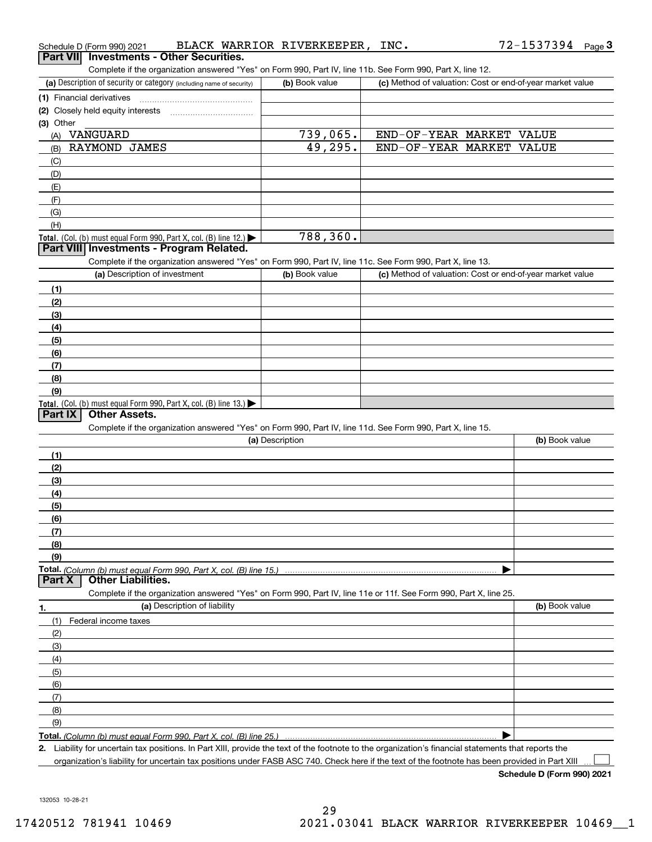| Schedule D (Form 990) 2021                                                                                                                           | BLACK WARRIOR RIVERKEEPER, INC. |                          | 72-1537394 Page 3                                         |
|------------------------------------------------------------------------------------------------------------------------------------------------------|---------------------------------|--------------------------|-----------------------------------------------------------|
| <b>Investments - Other Securities.</b><br><b>Part VIII</b>                                                                                           |                                 |                          |                                                           |
| Complete if the organization answered "Yes" on Form 990, Part IV, line 11b. See Form 990, Part X, line 12.                                           |                                 |                          |                                                           |
| (a) Description of security or category (including name of security)                                                                                 | (b) Book value                  |                          | (c) Method of valuation: Cost or end-of-year market value |
| (1) Financial derivatives                                                                                                                            |                                 |                          |                                                           |
|                                                                                                                                                      |                                 |                          |                                                           |
| (3) Other                                                                                                                                            |                                 |                          |                                                           |
| (A) VANGUARD                                                                                                                                         | 739,065.                        | END-OF-YEAR MARKET VALUE |                                                           |
| RAYMOND JAMES<br>(B)                                                                                                                                 | 49,295.                         | END-OF-YEAR MARKET VALUE |                                                           |
| (C)                                                                                                                                                  |                                 |                          |                                                           |
| (D)                                                                                                                                                  |                                 |                          |                                                           |
| (E)                                                                                                                                                  |                                 |                          |                                                           |
| (F)                                                                                                                                                  |                                 |                          |                                                           |
| (G)                                                                                                                                                  |                                 |                          |                                                           |
| (H)                                                                                                                                                  |                                 |                          |                                                           |
| Total. (Col. (b) must equal Form 990, Part X, col. (B) line $12$ .)                                                                                  | 788,360.                        |                          |                                                           |
| Part VIII Investments - Program Related.                                                                                                             |                                 |                          |                                                           |
| Complete if the organization answered "Yes" on Form 990, Part IV, line 11c. See Form 990, Part X, line 13.                                           |                                 |                          |                                                           |
| (a) Description of investment                                                                                                                        | (b) Book value                  |                          | (c) Method of valuation: Cost or end-of-year market value |
| (1)                                                                                                                                                  |                                 |                          |                                                           |
| (2)                                                                                                                                                  |                                 |                          |                                                           |
| (3)                                                                                                                                                  |                                 |                          |                                                           |
| (4)                                                                                                                                                  |                                 |                          |                                                           |
| (5)                                                                                                                                                  |                                 |                          |                                                           |
| (6)                                                                                                                                                  |                                 |                          |                                                           |
| (7)                                                                                                                                                  |                                 |                          |                                                           |
| (8)                                                                                                                                                  |                                 |                          |                                                           |
| (9)                                                                                                                                                  |                                 |                          |                                                           |
| Total. (Col. (b) must equal Form 990, Part X, col. (B) line 13.)                                                                                     |                                 |                          |                                                           |
| <b>Other Assets.</b><br>Part IX                                                                                                                      |                                 |                          |                                                           |
| Complete if the organization answered "Yes" on Form 990, Part IV, line 11d. See Form 990, Part X, line 15.                                           |                                 |                          |                                                           |
|                                                                                                                                                      | (a) Description                 |                          | (b) Book value                                            |
| (1)                                                                                                                                                  |                                 |                          |                                                           |
| (2)                                                                                                                                                  |                                 |                          |                                                           |
| (3)                                                                                                                                                  |                                 |                          |                                                           |
| (4)                                                                                                                                                  |                                 |                          |                                                           |
| (5)                                                                                                                                                  |                                 |                          |                                                           |
| <u>(6)</u>                                                                                                                                           |                                 |                          |                                                           |
| (7)                                                                                                                                                  |                                 |                          |                                                           |
| (8)                                                                                                                                                  |                                 |                          |                                                           |
| (9)                                                                                                                                                  |                                 |                          |                                                           |
|                                                                                                                                                      |                                 |                          |                                                           |
| Part X<br><b>Other Liabilities.</b>                                                                                                                  |                                 |                          |                                                           |
| Complete if the organization answered "Yes" on Form 990, Part IV, line 11e or 11f. See Form 990, Part X, line 25.                                    |                                 |                          |                                                           |
| (a) Description of liability<br>1.                                                                                                                   |                                 |                          | (b) Book value                                            |
| Federal income taxes<br>(1)                                                                                                                          |                                 |                          |                                                           |
| (2)                                                                                                                                                  |                                 |                          |                                                           |
| (3)                                                                                                                                                  |                                 |                          |                                                           |
| (4)                                                                                                                                                  |                                 |                          |                                                           |
| (5)                                                                                                                                                  |                                 |                          |                                                           |
| (6)                                                                                                                                                  |                                 |                          |                                                           |
| (7)                                                                                                                                                  |                                 |                          |                                                           |
| (8)                                                                                                                                                  |                                 |                          |                                                           |
| (9)                                                                                                                                                  |                                 |                          |                                                           |
| <b>Total.</b> (Column (b) must equal Form 990. Part X. col. (B) line 25.) …………………………………………………………                                                     |                                 |                          |                                                           |
| 2. Liability for uncertain tax positions. In Part XIII, provide the text of the footnote to the organization's financial statements that reports the |                                 |                          |                                                           |

organization's liability for uncertain tax positions under FASB ASC 740. Check here if the text of the footnote has been provided in Part XIII

**Schedule D (Form 990) 2021**

 $\Box$ 

132053 10-28-21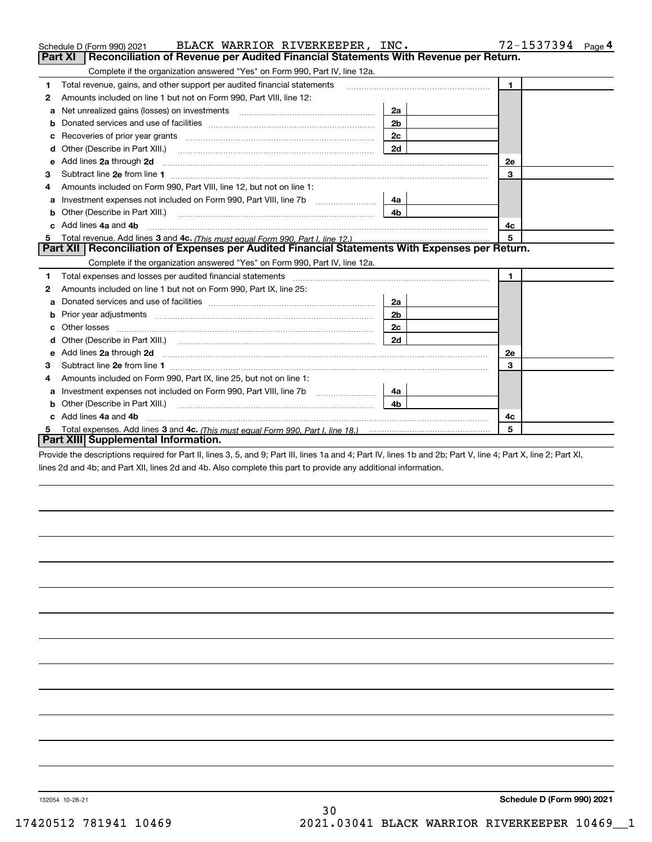|   | BLACK WARRIOR RIVERKEEPER, INC.<br>Schedule D (Form 990) 2021                                                                                                                                                                       |                | 72-1537394<br>Page 4 |
|---|-------------------------------------------------------------------------------------------------------------------------------------------------------------------------------------------------------------------------------------|----------------|----------------------|
|   | Reconciliation of Revenue per Audited Financial Statements With Revenue per Return.<br>Part XI                                                                                                                                      |                |                      |
|   | Complete if the organization answered "Yes" on Form 990, Part IV, line 12a.                                                                                                                                                         |                |                      |
| 1 | Total revenue, gains, and other support per audited financial statements                                                                                                                                                            |                | $\blacksquare$       |
| 2 | Amounts included on line 1 but not on Form 990, Part VIII, line 12:                                                                                                                                                                 |                |                      |
| a | Net unrealized gains (losses) on investments [11] matter contracts and the unrealized gains (losses) on investments                                                                                                                 | 2a             |                      |
|   |                                                                                                                                                                                                                                     | 2 <sub>b</sub> |                      |
|   |                                                                                                                                                                                                                                     | 2c             |                      |
| d |                                                                                                                                                                                                                                     | 2d             |                      |
| e | Add lines 2a through 2d                                                                                                                                                                                                             |                | <b>2e</b>            |
| 3 |                                                                                                                                                                                                                                     |                | 3                    |
| 4 | Amounts included on Form 990, Part VIII, line 12, but not on line 1:                                                                                                                                                                |                |                      |
|   |                                                                                                                                                                                                                                     | 4a             |                      |
|   |                                                                                                                                                                                                                                     | 4b.            |                      |
| c | Add lines 4a and 4b                                                                                                                                                                                                                 |                | 4c                   |
|   |                                                                                                                                                                                                                                     |                | 5                    |
|   | Part XII   Reconciliation of Expenses per Audited Financial Statements With Expenses per Return.                                                                                                                                    |                |                      |
|   | Complete if the organization answered "Yes" on Form 990, Part IV, line 12a.                                                                                                                                                         |                |                      |
| 1 |                                                                                                                                                                                                                                     |                |                      |
| 2 |                                                                                                                                                                                                                                     |                | $\mathbf 1$          |
|   | Amounts included on line 1 but not on Form 990, Part IX, line 25:                                                                                                                                                                   |                |                      |
| a |                                                                                                                                                                                                                                     | 2a             |                      |
| b |                                                                                                                                                                                                                                     | 2b             |                      |
|   | Other losses                                                                                                                                                                                                                        | 2c             |                      |
| d |                                                                                                                                                                                                                                     | 2d             |                      |
|   | Add lines 2a through 2d <b>contained a contained a contained a contained a</b> contained a contained a contained a contained a contained a contained a contained a contained a contained a contained a contained a contained a cont |                | 2е                   |
| з |                                                                                                                                                                                                                                     |                | 3                    |
| 4 | Amounts included on Form 990, Part IX, line 25, but not on line 1:                                                                                                                                                                  |                |                      |
| a |                                                                                                                                                                                                                                     | 4a l           |                      |
|   | Other (Describe in Part XIII.)                                                                                                                                                                                                      | 4b             |                      |
| c | Add lines 4a and 4b                                                                                                                                                                                                                 |                | 4c                   |
|   | Part XIII Supplemental Information.                                                                                                                                                                                                 |                | 5                    |

Provide the descriptions required for Part II, lines 3, 5, and 9; Part III, lines 1a and 4; Part IV, lines 1b and 2b; Part V, line 4; Part X, line 2; Part XI, lines 2d and 4b; and Part XII, lines 2d and 4b. Also complete this part to provide any additional information.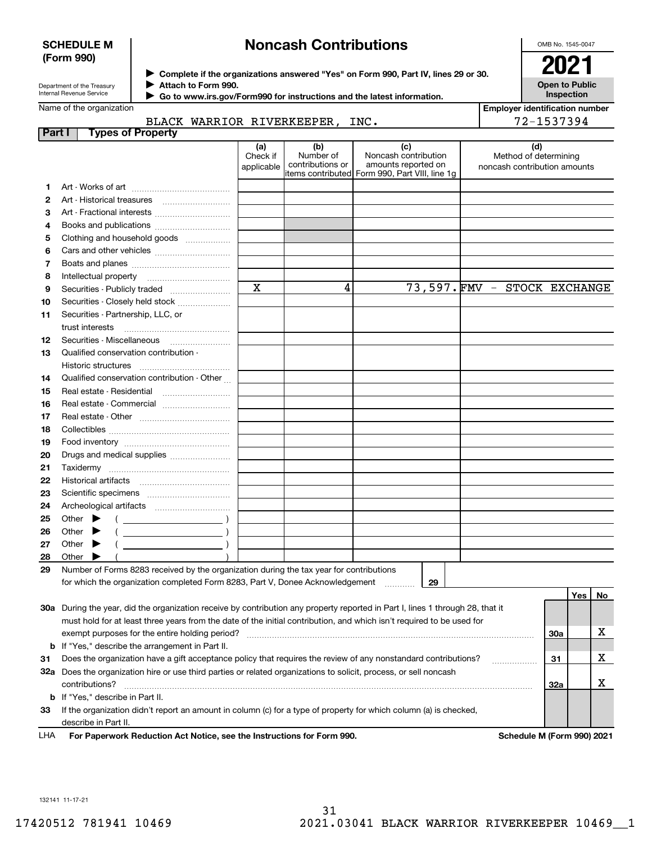### **SCHEDULE M (Form 990)**

# **Noncash Contributions**

OMB No. 1545-0047

**Open to Public Inspection**

Department of the Treasury Internal Revenue Service

**Complete if the organizations answered "Yes" on Form 990, Part IV, lines 29 or 30.** <sup>J</sup>**2021 Attach to Form 990.** J

 **Go to www.irs.gov/Form990 for instructions and the latest information.** J

| Name of the organization |                                                                                                                                                                                                                                                                                                                                                                                                                                              |                               |                                      |                                                                                                       |  |                              | <b>Employer identification number</b> |     |    |  |
|--------------------------|----------------------------------------------------------------------------------------------------------------------------------------------------------------------------------------------------------------------------------------------------------------------------------------------------------------------------------------------------------------------------------------------------------------------------------------------|-------------------------------|--------------------------------------|-------------------------------------------------------------------------------------------------------|--|------------------------------|---------------------------------------|-----|----|--|
|                          | BLACK WARRIOR RIVERKEEPER, INC.                                                                                                                                                                                                                                                                                                                                                                                                              |                               | 72-1537394                           |                                                                                                       |  |                              |                                       |     |    |  |
| Part I                   | <b>Types of Property</b>                                                                                                                                                                                                                                                                                                                                                                                                                     |                               |                                      |                                                                                                       |  |                              |                                       |     |    |  |
|                          |                                                                                                                                                                                                                                                                                                                                                                                                                                              | (a)<br>Check if<br>applicable | (b)<br>Number of<br>contributions or | (c)<br>Noncash contribution<br>amounts reported on<br>litems contributed Form 990, Part VIII, line 1g |  | noncash contribution amounts | (d)<br>Method of determining          |     |    |  |
| 1                        |                                                                                                                                                                                                                                                                                                                                                                                                                                              |                               |                                      |                                                                                                       |  |                              |                                       |     |    |  |
| 2                        |                                                                                                                                                                                                                                                                                                                                                                                                                                              |                               |                                      |                                                                                                       |  |                              |                                       |     |    |  |
| 3                        |                                                                                                                                                                                                                                                                                                                                                                                                                                              |                               |                                      |                                                                                                       |  |                              |                                       |     |    |  |
| 4                        |                                                                                                                                                                                                                                                                                                                                                                                                                                              |                               |                                      |                                                                                                       |  |                              |                                       |     |    |  |
| 5                        | Clothing and household goods                                                                                                                                                                                                                                                                                                                                                                                                                 |                               |                                      |                                                                                                       |  |                              |                                       |     |    |  |
| 6                        |                                                                                                                                                                                                                                                                                                                                                                                                                                              |                               |                                      |                                                                                                       |  |                              |                                       |     |    |  |
| 7                        |                                                                                                                                                                                                                                                                                                                                                                                                                                              |                               |                                      |                                                                                                       |  |                              |                                       |     |    |  |
| 8                        |                                                                                                                                                                                                                                                                                                                                                                                                                                              |                               |                                      |                                                                                                       |  |                              |                                       |     |    |  |
| 9                        |                                                                                                                                                                                                                                                                                                                                                                                                                                              | $\mathbf x$                   | 4                                    |                                                                                                       |  | 73,597. FMV - STOCK EXCHANGE |                                       |     |    |  |
| 10                       | Securities - Closely held stock                                                                                                                                                                                                                                                                                                                                                                                                              |                               |                                      |                                                                                                       |  |                              |                                       |     |    |  |
| 11                       | Securities - Partnership, LLC, or                                                                                                                                                                                                                                                                                                                                                                                                            |                               |                                      |                                                                                                       |  |                              |                                       |     |    |  |
|                          | trust interests                                                                                                                                                                                                                                                                                                                                                                                                                              |                               |                                      |                                                                                                       |  |                              |                                       |     |    |  |
| 12                       |                                                                                                                                                                                                                                                                                                                                                                                                                                              |                               |                                      |                                                                                                       |  |                              |                                       |     |    |  |
| 13                       | Qualified conservation contribution -                                                                                                                                                                                                                                                                                                                                                                                                        |                               |                                      |                                                                                                       |  |                              |                                       |     |    |  |
|                          |                                                                                                                                                                                                                                                                                                                                                                                                                                              |                               |                                      |                                                                                                       |  |                              |                                       |     |    |  |
| 14                       | Qualified conservation contribution - Other                                                                                                                                                                                                                                                                                                                                                                                                  |                               |                                      |                                                                                                       |  |                              |                                       |     |    |  |
| 15                       |                                                                                                                                                                                                                                                                                                                                                                                                                                              |                               |                                      |                                                                                                       |  |                              |                                       |     |    |  |
| 16                       |                                                                                                                                                                                                                                                                                                                                                                                                                                              |                               |                                      |                                                                                                       |  |                              |                                       |     |    |  |
| 17                       |                                                                                                                                                                                                                                                                                                                                                                                                                                              |                               |                                      |                                                                                                       |  |                              |                                       |     |    |  |
| 18                       |                                                                                                                                                                                                                                                                                                                                                                                                                                              |                               |                                      |                                                                                                       |  |                              |                                       |     |    |  |
| 19                       |                                                                                                                                                                                                                                                                                                                                                                                                                                              |                               |                                      |                                                                                                       |  |                              |                                       |     |    |  |
| 20                       | Drugs and medical supplies                                                                                                                                                                                                                                                                                                                                                                                                                   |                               |                                      |                                                                                                       |  |                              |                                       |     |    |  |
| 21                       |                                                                                                                                                                                                                                                                                                                                                                                                                                              |                               |                                      |                                                                                                       |  |                              |                                       |     |    |  |
| 22                       |                                                                                                                                                                                                                                                                                                                                                                                                                                              |                               |                                      |                                                                                                       |  |                              |                                       |     |    |  |
| 23                       |                                                                                                                                                                                                                                                                                                                                                                                                                                              |                               |                                      |                                                                                                       |  |                              |                                       |     |    |  |
| 24                       |                                                                                                                                                                                                                                                                                                                                                                                                                                              |                               |                                      |                                                                                                       |  |                              |                                       |     |    |  |
| 25                       | Other $\blacktriangleright$<br>$\left(\begin{array}{ccc}\n\frac{1}{2} & \frac{1}{2} & \frac{1}{2} & \frac{1}{2} & \frac{1}{2} & \frac{1}{2} & \frac{1}{2} & \frac{1}{2} & \frac{1}{2} & \frac{1}{2} & \frac{1}{2} & \frac{1}{2} & \frac{1}{2} & \frac{1}{2} & \frac{1}{2} & \frac{1}{2} & \frac{1}{2} & \frac{1}{2} & \frac{1}{2} & \frac{1}{2} & \frac{1}{2} & \frac{1}{2} & \frac{1}{2} & \frac{1}{2} & \frac{1}{2} & \frac{1}{2} & \frac$ |                               |                                      |                                                                                                       |  |                              |                                       |     |    |  |
| 26                       | $($ $)$<br>Other $\blacktriangleright$                                                                                                                                                                                                                                                                                                                                                                                                       |                               |                                      |                                                                                                       |  |                              |                                       |     |    |  |
| 27                       | $($ $)$<br>Other $\blacktriangleright$                                                                                                                                                                                                                                                                                                                                                                                                       |                               |                                      |                                                                                                       |  |                              |                                       |     |    |  |
| 28                       | Other                                                                                                                                                                                                                                                                                                                                                                                                                                        |                               |                                      |                                                                                                       |  |                              |                                       |     |    |  |
| 29                       | Number of Forms 8283 received by the organization during the tax year for contributions                                                                                                                                                                                                                                                                                                                                                      |                               |                                      |                                                                                                       |  |                              |                                       |     |    |  |
|                          | for which the organization completed Form 8283, Part V, Donee Acknowledgement  29                                                                                                                                                                                                                                                                                                                                                            |                               |                                      |                                                                                                       |  |                              |                                       |     |    |  |
|                          |                                                                                                                                                                                                                                                                                                                                                                                                                                              |                               |                                      |                                                                                                       |  |                              |                                       | Yes | No |  |
|                          | 30a During the year, did the organization receive by contribution any property reported in Part I, lines 1 through 28, that it                                                                                                                                                                                                                                                                                                               |                               |                                      |                                                                                                       |  |                              |                                       |     |    |  |
|                          | must hold for at least three years from the date of the initial contribution, and which isn't required to be used for                                                                                                                                                                                                                                                                                                                        |                               |                                      |                                                                                                       |  |                              |                                       |     |    |  |
|                          | exempt purposes for the entire holding period?                                                                                                                                                                                                                                                                                                                                                                                               |                               |                                      |                                                                                                       |  |                              | 30a                                   |     | X  |  |
|                          | <b>b</b> If "Yes," describe the arrangement in Part II.                                                                                                                                                                                                                                                                                                                                                                                      |                               |                                      |                                                                                                       |  |                              |                                       |     |    |  |
| 31                       | Does the organization have a gift acceptance policy that requires the review of any nonstandard contributions?                                                                                                                                                                                                                                                                                                                               |                               |                                      |                                                                                                       |  |                              |                                       |     | x  |  |
|                          | 32a Does the organization hire or use third parties or related organizations to solicit, process, or sell noncash                                                                                                                                                                                                                                                                                                                            |                               |                                      |                                                                                                       |  |                              |                                       |     |    |  |
|                          | contributions?                                                                                                                                                                                                                                                                                                                                                                                                                               |                               |                                      |                                                                                                       |  |                              | 32a                                   |     | х  |  |
|                          | b If "Yes," describe in Part II.                                                                                                                                                                                                                                                                                                                                                                                                             |                               |                                      |                                                                                                       |  |                              |                                       |     |    |  |
| 33                       | If the organization didn't report an amount in column (c) for a type of property for which column (a) is checked,                                                                                                                                                                                                                                                                                                                            |                               |                                      |                                                                                                       |  |                              |                                       |     |    |  |
|                          | describe in Part II.                                                                                                                                                                                                                                                                                                                                                                                                                         |                               |                                      |                                                                                                       |  |                              |                                       |     |    |  |

**For Paperwork Reduction Act Notice, see the Instructions for Form 990. Schedule M (Form 990) 2021** LHA

132141 11-17-21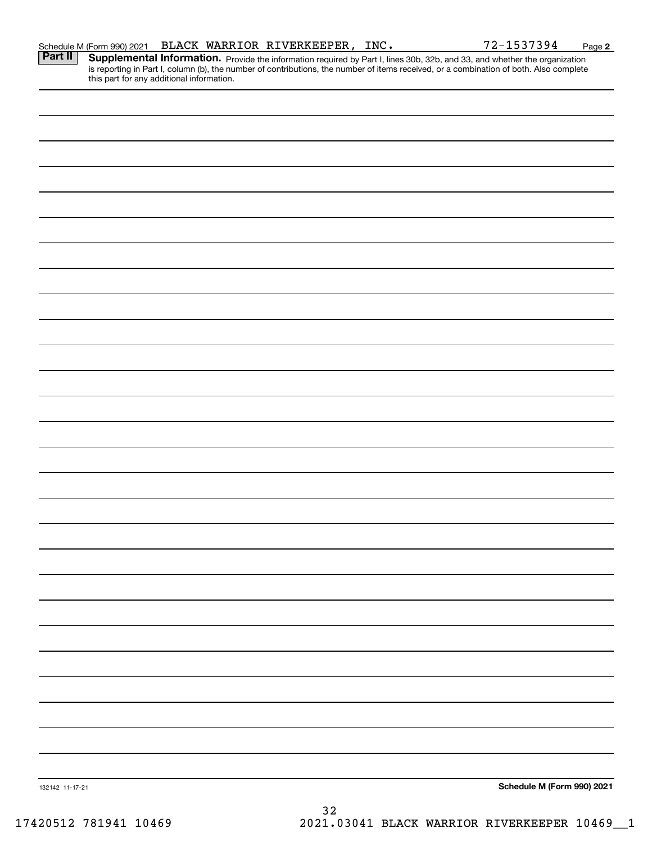|                 | Schedule M (Form 990) 2021                | BLACK WARRIOR RIVERKEEPER, INC. |  |  | 72-1537394                                                                                                                                                                                                                          | Page 2 |
|-----------------|-------------------------------------------|---------------------------------|--|--|-------------------------------------------------------------------------------------------------------------------------------------------------------------------------------------------------------------------------------------|--------|
| <b>Part II</b>  | this part for any additional information. |                                 |  |  | <b>Supplemental Information.</b> Provide the information required by Part I, lines 30b, 32b, and 33, and whether the organization is reporting in Part I, column (b), the number of contributions, the number of items received, or |        |
|                 |                                           |                                 |  |  |                                                                                                                                                                                                                                     |        |
|                 |                                           |                                 |  |  |                                                                                                                                                                                                                                     |        |
|                 |                                           |                                 |  |  |                                                                                                                                                                                                                                     |        |
|                 |                                           |                                 |  |  |                                                                                                                                                                                                                                     |        |
|                 |                                           |                                 |  |  |                                                                                                                                                                                                                                     |        |
|                 |                                           |                                 |  |  |                                                                                                                                                                                                                                     |        |
|                 |                                           |                                 |  |  |                                                                                                                                                                                                                                     |        |
|                 |                                           |                                 |  |  |                                                                                                                                                                                                                                     |        |
|                 |                                           |                                 |  |  |                                                                                                                                                                                                                                     |        |
|                 |                                           |                                 |  |  |                                                                                                                                                                                                                                     |        |
|                 |                                           |                                 |  |  |                                                                                                                                                                                                                                     |        |
|                 |                                           |                                 |  |  |                                                                                                                                                                                                                                     |        |
|                 |                                           |                                 |  |  |                                                                                                                                                                                                                                     |        |
|                 |                                           |                                 |  |  |                                                                                                                                                                                                                                     |        |
|                 |                                           |                                 |  |  |                                                                                                                                                                                                                                     |        |
|                 |                                           |                                 |  |  |                                                                                                                                                                                                                                     |        |
|                 |                                           |                                 |  |  |                                                                                                                                                                                                                                     |        |
|                 |                                           |                                 |  |  |                                                                                                                                                                                                                                     |        |
|                 |                                           |                                 |  |  |                                                                                                                                                                                                                                     |        |
|                 |                                           |                                 |  |  |                                                                                                                                                                                                                                     |        |
|                 |                                           |                                 |  |  |                                                                                                                                                                                                                                     |        |
|                 |                                           |                                 |  |  |                                                                                                                                                                                                                                     |        |
|                 |                                           |                                 |  |  |                                                                                                                                                                                                                                     |        |
|                 |                                           |                                 |  |  |                                                                                                                                                                                                                                     |        |
|                 |                                           |                                 |  |  |                                                                                                                                                                                                                                     |        |
|                 |                                           |                                 |  |  |                                                                                                                                                                                                                                     |        |
|                 |                                           |                                 |  |  |                                                                                                                                                                                                                                     |        |
| 132142 11-17-21 |                                           |                                 |  |  | Schedule M (Form 990) 2021                                                                                                                                                                                                          |        |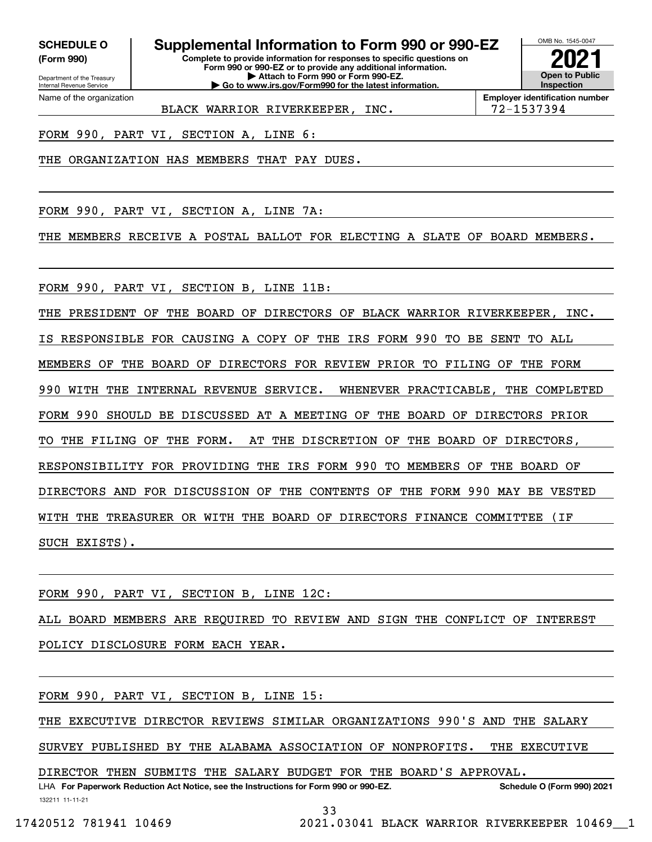**(Form 990)**

**Complete to provide information for responses to specific questions on SCHEDULE O Supplemental Information to Form 990 or 990-EZ**

**Form 990 or 990-EZ or to provide any additional information. | Attach to Form 990 or Form 990-EZ. | Go to www.irs.gov/Form990 for the latest information.**



**Employer identification number** BLACK WARRIOR RIVERKEEPER, INC. | 72-1537394

FORM 990, PART VI, SECTION A, LINE 6:

THE ORGANIZATION HAS MEMBERS THAT PAY DUES.

FORM 990, PART VI, SECTION A, LINE 7A:

THE MEMBERS RECEIVE A POSTAL BALLOT FOR ELECTING A SLATE OF BOARD MEMBERS.

FORM 990, PART VI, SECTION B, LINE 11B:

THE PRESIDENT OF THE BOARD OF DIRECTORS OF BLACK WARRIOR RIVERKEEPER, INC. IS RESPONSIBLE FOR CAUSING A COPY OF THE IRS FORM 990 TO BE SENT TO ALL MEMBERS OF THE BOARD OF DIRECTORS FOR REVIEW PRIOR TO FILING OF THE FORM 990 WITH THE INTERNAL REVENUE SERVICE. WHENEVER PRACTICABLE, THE COMPLETED FORM 990 SHOULD BE DISCUSSED AT A MEETING OF THE BOARD OF DIRECTORS PRIOR TO THE FILING OF THE FORM. AT THE DISCRETION OF THE BOARD OF DIRECTORS, RESPONSIBILITY FOR PROVIDING THE IRS FORM 990 TO MEMBERS OF THE BOARD OF DIRECTORS AND FOR DISCUSSION OF THE CONTENTS OF THE FORM 990 MAY BE VESTED WITH THE TREASURER OR WITH THE BOARD OF DIRECTORS FINANCE COMMITTEE (IF SUCH EXISTS).

FORM 990, PART VI, SECTION B, LINE 12C:

ALL BOARD MEMBERS ARE REQUIRED TO REVIEW AND SIGN THE CONFLICT OF INTEREST POLICY DISCLOSURE FORM EACH YEAR.

FORM 990, PART VI, SECTION B, LINE 15:

THE EXECUTIVE DIRECTOR REVIEWS SIMILAR ORGANIZATIONS 990'S AND THE SALARY

SURVEY PUBLISHED BY THE ALABAMA ASSOCIATION OF NONPROFITS. THE EXECUTIVE

DIRECTOR THEN SUBMITS THE SALARY BUDGET FOR THE BOARD'S APPROVAL.

132211 11-11-21 LHA For Paperwork Reduction Act Notice, see the Instructions for Form 990 or 990-EZ. Schedule O (Form 990) 2021 33